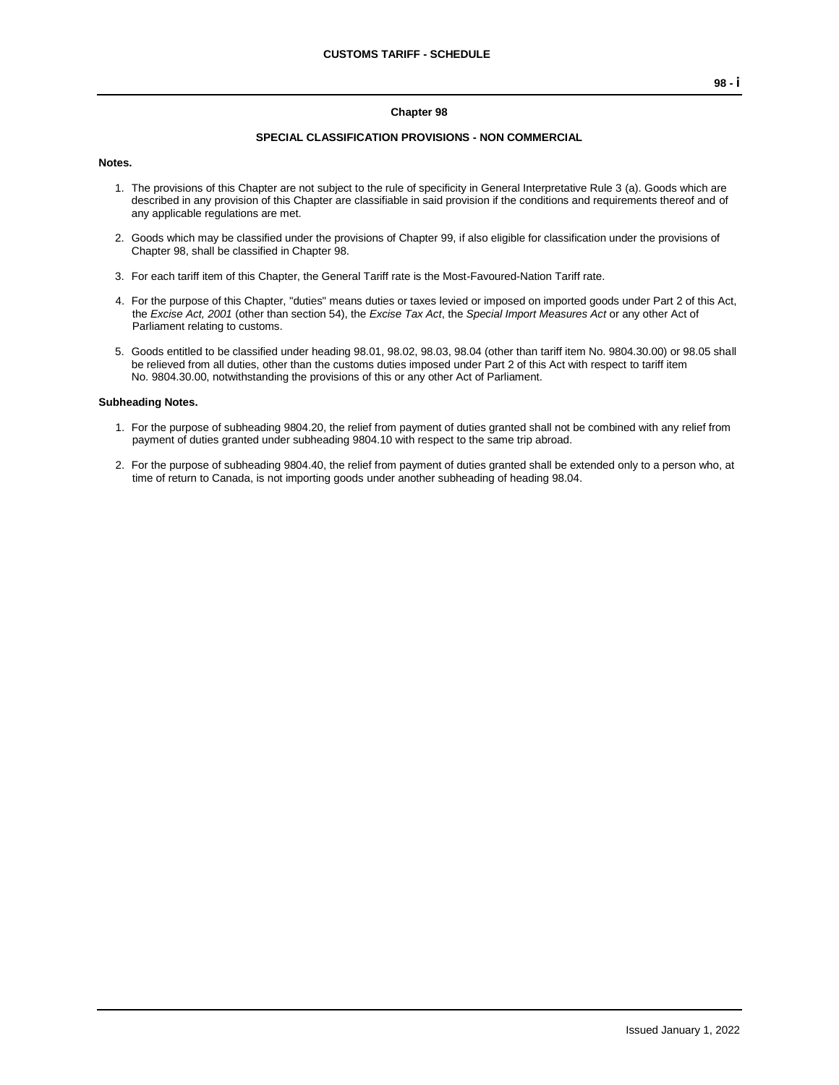#### **Chapter 98**

#### **SPECIAL CLASSIFICATION PROVISIONS - NON COMMERCIAL**

#### **Notes.**

- 1. The provisions of this Chapter are not subject to the rule of specificity in General Interpretative Rule 3 (a). Goods which are described in any provision of this Chapter are classifiable in said provision if the conditions and requirements thereof and of any applicable regulations are met.
- 2. Goods which may be classified under the provisions of Chapter 99, if also eligible for classification under the provisions of Chapter 98, shall be classified in Chapter 98.
- 3. For each tariff item of this Chapter, the General Tariff rate is the Most-Favoured-Nation Tariff rate.
- 4. For the purpose of this Chapter, "duties" means duties or taxes levied or imposed on imported goods under Part 2 of this Act, the *Excise Act, 2001* (other than section 54), the *Excise Tax Act*, the *Special Import Measures Act* or any other Act of Parliament relating to customs.
- 5. Goods entitled to be classified under heading 98.01, 98.02, 98.03, 98.04 (other than tariff item No. 9804.30.00) or 98.05 shall be relieved from all duties, other than the customs duties imposed under Part 2 of this Act with respect to tariff item No. 9804.30.00, notwithstanding the provisions of this or any other Act of Parliament.

#### **Subheading Notes.**

- 1. For the purpose of subheading 9804.20, the relief from payment of duties granted shall not be combined with any relief from payment of duties granted under subheading 9804.10 with respect to the same trip abroad.
- 2. For the purpose of subheading 9804.40, the relief from payment of duties granted shall be extended only to a person who, at time of return to Canada, is not importing goods under another subheading of heading 98.04.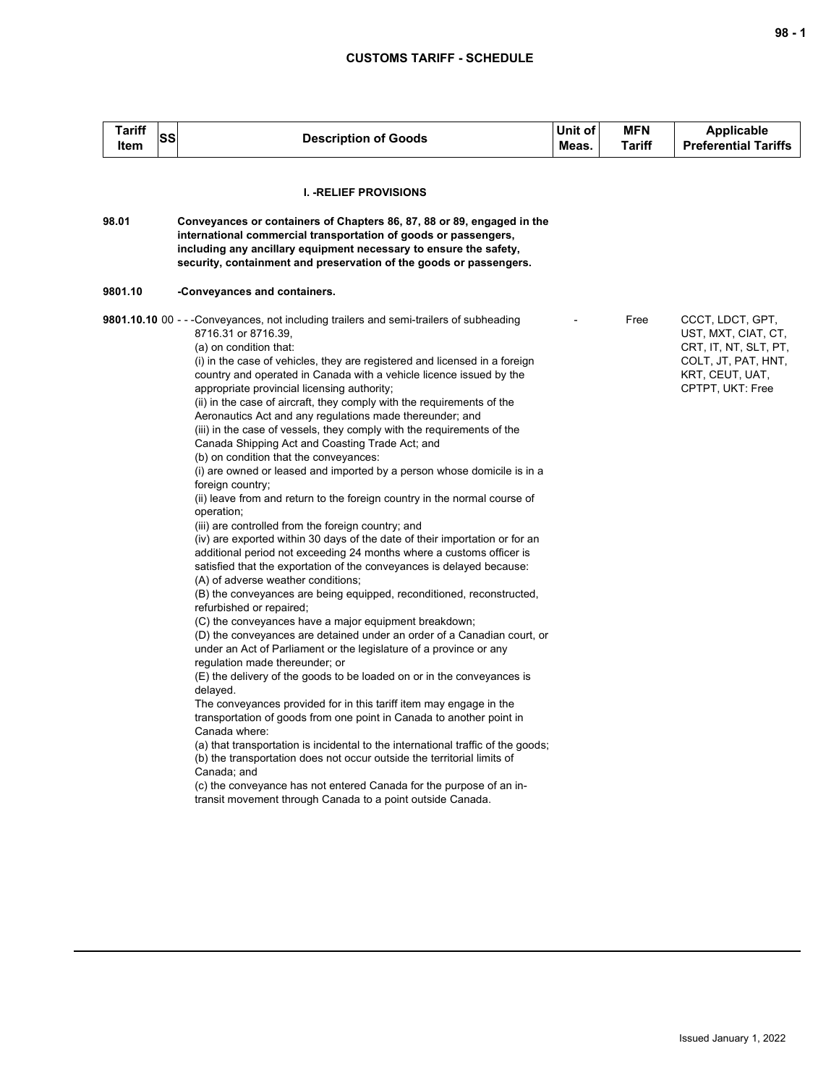| <b>Tariff</b><br>SS<br>Item | <b>Description of Goods</b>                                                                                                                                                                                                                                                                                                                                                                                                                                                                                                                                                                                                                                                                                                                                                                                                                                                                                                                                                                                                                                                                                                                                                                                                                                                                                                                                                                                                                                                                                                                                                                                                                                                                                                                                                                                                                                                                                                                                                                                                                                                                             | Unit of<br>Meas. | <b>MFN</b><br>Tariff | <b>Applicable</b><br><b>Preferential Tariffs</b>                                                                               |
|-----------------------------|---------------------------------------------------------------------------------------------------------------------------------------------------------------------------------------------------------------------------------------------------------------------------------------------------------------------------------------------------------------------------------------------------------------------------------------------------------------------------------------------------------------------------------------------------------------------------------------------------------------------------------------------------------------------------------------------------------------------------------------------------------------------------------------------------------------------------------------------------------------------------------------------------------------------------------------------------------------------------------------------------------------------------------------------------------------------------------------------------------------------------------------------------------------------------------------------------------------------------------------------------------------------------------------------------------------------------------------------------------------------------------------------------------------------------------------------------------------------------------------------------------------------------------------------------------------------------------------------------------------------------------------------------------------------------------------------------------------------------------------------------------------------------------------------------------------------------------------------------------------------------------------------------------------------------------------------------------------------------------------------------------------------------------------------------------------------------------------------------------|------------------|----------------------|--------------------------------------------------------------------------------------------------------------------------------|
|                             | <b>I. -RELIEF PROVISIONS</b>                                                                                                                                                                                                                                                                                                                                                                                                                                                                                                                                                                                                                                                                                                                                                                                                                                                                                                                                                                                                                                                                                                                                                                                                                                                                                                                                                                                                                                                                                                                                                                                                                                                                                                                                                                                                                                                                                                                                                                                                                                                                            |                  |                      |                                                                                                                                |
| 98.01                       | Conveyances or containers of Chapters 86, 87, 88 or 89, engaged in the<br>international commercial transportation of goods or passengers,<br>including any ancillary equipment necessary to ensure the safety,<br>security, containment and preservation of the goods or passengers.                                                                                                                                                                                                                                                                                                                                                                                                                                                                                                                                                                                                                                                                                                                                                                                                                                                                                                                                                                                                                                                                                                                                                                                                                                                                                                                                                                                                                                                                                                                                                                                                                                                                                                                                                                                                                    |                  |                      |                                                                                                                                |
| 9801.10                     | -Conveyances and containers.                                                                                                                                                                                                                                                                                                                                                                                                                                                                                                                                                                                                                                                                                                                                                                                                                                                                                                                                                                                                                                                                                                                                                                                                                                                                                                                                                                                                                                                                                                                                                                                                                                                                                                                                                                                                                                                                                                                                                                                                                                                                            |                  |                      |                                                                                                                                |
|                             | 9801.10.10 00 - - -Conveyances, not including trailers and semi-trailers of subheading<br>8716.31 or 8716.39,<br>(a) on condition that:<br>(i) in the case of vehicles, they are registered and licensed in a foreign<br>country and operated in Canada with a vehicle licence issued by the<br>appropriate provincial licensing authority;<br>(ii) in the case of aircraft, they comply with the requirements of the<br>Aeronautics Act and any regulations made thereunder; and<br>(iii) in the case of vessels, they comply with the requirements of the<br>Canada Shipping Act and Coasting Trade Act; and<br>(b) on condition that the conveyances:<br>(i) are owned or leased and imported by a person whose domicile is in a<br>foreign country;<br>(ii) leave from and return to the foreign country in the normal course of<br>operation;<br>(iii) are controlled from the foreign country; and<br>(iv) are exported within 30 days of the date of their importation or for an<br>additional period not exceeding 24 months where a customs officer is<br>satisfied that the exportation of the conveyances is delayed because:<br>(A) of adverse weather conditions;<br>(B) the conveyances are being equipped, reconditioned, reconstructed,<br>refurbished or repaired;<br>(C) the conveyances have a major equipment breakdown;<br>(D) the conveyances are detained under an order of a Canadian court, or<br>under an Act of Parliament or the legislature of a province or any<br>regulation made thereunder; or<br>(E) the delivery of the goods to be loaded on or in the conveyances is<br>delayed.<br>The conveyances provided for in this tariff item may engage in the<br>transportation of goods from one point in Canada to another point in<br>Canada where:<br>(a) that transportation is incidental to the international traffic of the goods;<br>(b) the transportation does not occur outside the territorial limits of<br>Canada; and<br>(c) the conveyance has not entered Canada for the purpose of an in-<br>transit movement through Canada to a point outside Canada. |                  | Free                 | CCCT, LDCT, GPT,<br>UST, MXT, CIAT, CT,<br>CRT, IT, NT, SLT, PT,<br>COLT, JT, PAT, HNT,<br>KRT, CEUT, UAT,<br>CPTPT, UKT: Free |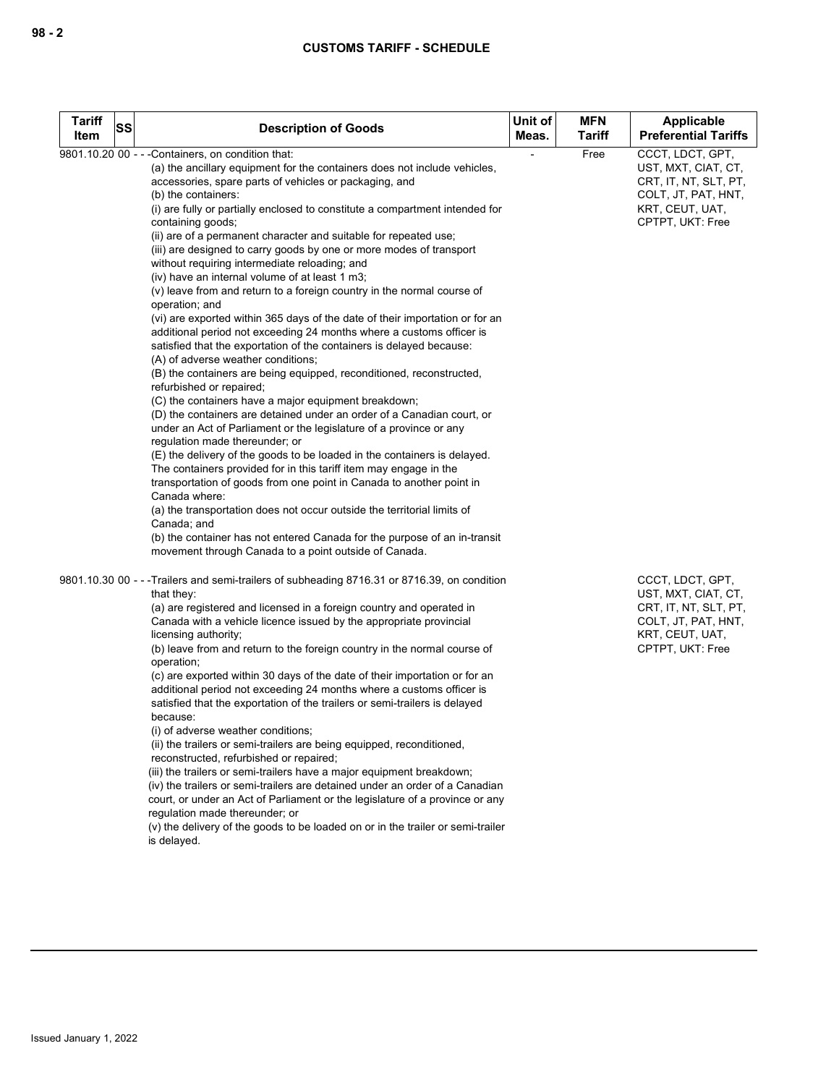| <b>Tariff</b><br><b>SS</b> |                                                                                                                                              | Unit of | <b>MFN</b> | Applicable                          |
|----------------------------|----------------------------------------------------------------------------------------------------------------------------------------------|---------|------------|-------------------------------------|
| Item                       | <b>Description of Goods</b>                                                                                                                  | Meas.   | Tariff     | <b>Preferential Tariffs</b>         |
|                            | 9801.10.20 00 - - - Containers, on condition that:                                                                                           |         | Free       | CCCT, LDCT, GPT,                    |
|                            | (a) the ancillary equipment for the containers does not include vehicles,                                                                    |         |            | UST, MXT, CIAT, CT,                 |
|                            | accessories, spare parts of vehicles or packaging, and                                                                                       |         |            | CRT, IT, NT, SLT, PT,               |
|                            | (b) the containers:                                                                                                                          |         |            | COLT, JT, PAT, HNT,                 |
|                            | (i) are fully or partially enclosed to constitute a compartment intended for<br>containing goods;                                            |         |            | KRT, CEUT, UAT,<br>CPTPT, UKT: Free |
|                            | (ii) are of a permanent character and suitable for repeated use;                                                                             |         |            |                                     |
|                            | (iii) are designed to carry goods by one or more modes of transport                                                                          |         |            |                                     |
|                            | without requiring intermediate reloading; and                                                                                                |         |            |                                     |
|                            | (iv) have an internal volume of at least 1 m3;                                                                                               |         |            |                                     |
|                            | $(v)$ leave from and return to a foreign country in the normal course of                                                                     |         |            |                                     |
|                            | operation; and                                                                                                                               |         |            |                                     |
|                            | (vi) are exported within 365 days of the date of their importation or for an                                                                 |         |            |                                     |
|                            | additional period not exceeding 24 months where a customs officer is<br>satisfied that the exportation of the containers is delayed because: |         |            |                                     |
|                            | (A) of adverse weather conditions;                                                                                                           |         |            |                                     |
|                            | (B) the containers are being equipped, reconditioned, reconstructed,                                                                         |         |            |                                     |
|                            | refurbished or repaired;                                                                                                                     |         |            |                                     |
|                            | (C) the containers have a major equipment breakdown;                                                                                         |         |            |                                     |
|                            | (D) the containers are detained under an order of a Canadian court, or                                                                       |         |            |                                     |
|                            | under an Act of Parliament or the legislature of a province or any                                                                           |         |            |                                     |
|                            | regulation made thereunder; or<br>(E) the delivery of the goods to be loaded in the containers is delayed.                                   |         |            |                                     |
|                            | The containers provided for in this tariff item may engage in the                                                                            |         |            |                                     |
|                            | transportation of goods from one point in Canada to another point in                                                                         |         |            |                                     |
|                            | Canada where:                                                                                                                                |         |            |                                     |
|                            | (a) the transportation does not occur outside the territorial limits of                                                                      |         |            |                                     |
|                            | Canada; and                                                                                                                                  |         |            |                                     |
|                            | (b) the container has not entered Canada for the purpose of an in-transit<br>movement through Canada to a point outside of Canada.           |         |            |                                     |
|                            |                                                                                                                                              |         |            |                                     |
|                            | 9801.10.30 00 - - - Trailers and semi-trailers of subheading 8716.31 or 8716.39, on condition                                                |         |            | CCCT, LDCT, GPT,                    |
|                            | that they:                                                                                                                                   |         |            | UST, MXT, CIAT, CT,                 |
|                            | (a) are registered and licensed in a foreign country and operated in                                                                         |         |            | CRT, IT, NT, SLT, PT,               |
|                            | Canada with a vehicle licence issued by the appropriate provincial                                                                           |         |            | COLT, JT, PAT, HNT,                 |
|                            | licensing authority;                                                                                                                         |         |            | KRT, CEUT, UAT,                     |
|                            | (b) leave from and return to the foreign country in the normal course of<br>operation;                                                       |         |            | CPTPT, UKT: Free                    |
|                            | (c) are exported within 30 days of the date of their importation or for an                                                                   |         |            |                                     |
|                            | additional period not exceeding 24 months where a customs officer is                                                                         |         |            |                                     |
|                            | satisfied that the exportation of the trailers or semi-trailers is delayed                                                                   |         |            |                                     |
|                            | because:                                                                                                                                     |         |            |                                     |
|                            | (i) of adverse weather conditions;                                                                                                           |         |            |                                     |
|                            | (ii) the trailers or semi-trailers are being equipped, reconditioned,                                                                        |         |            |                                     |
|                            | reconstructed, refurbished or repaired;<br>(iii) the trailers or semi-trailers have a major equipment breakdown;                             |         |            |                                     |
|                            | (iv) the trailers or semi-trailers are detained under an order of a Canadian                                                                 |         |            |                                     |
|                            | court, or under an Act of Parliament or the legislature of a province or any                                                                 |         |            |                                     |
|                            | regulation made thereunder; or                                                                                                               |         |            |                                     |
|                            | (v) the delivery of the goods to be loaded on or in the trailer or semi-trailer                                                              |         |            |                                     |
|                            | is delayed.                                                                                                                                  |         |            |                                     |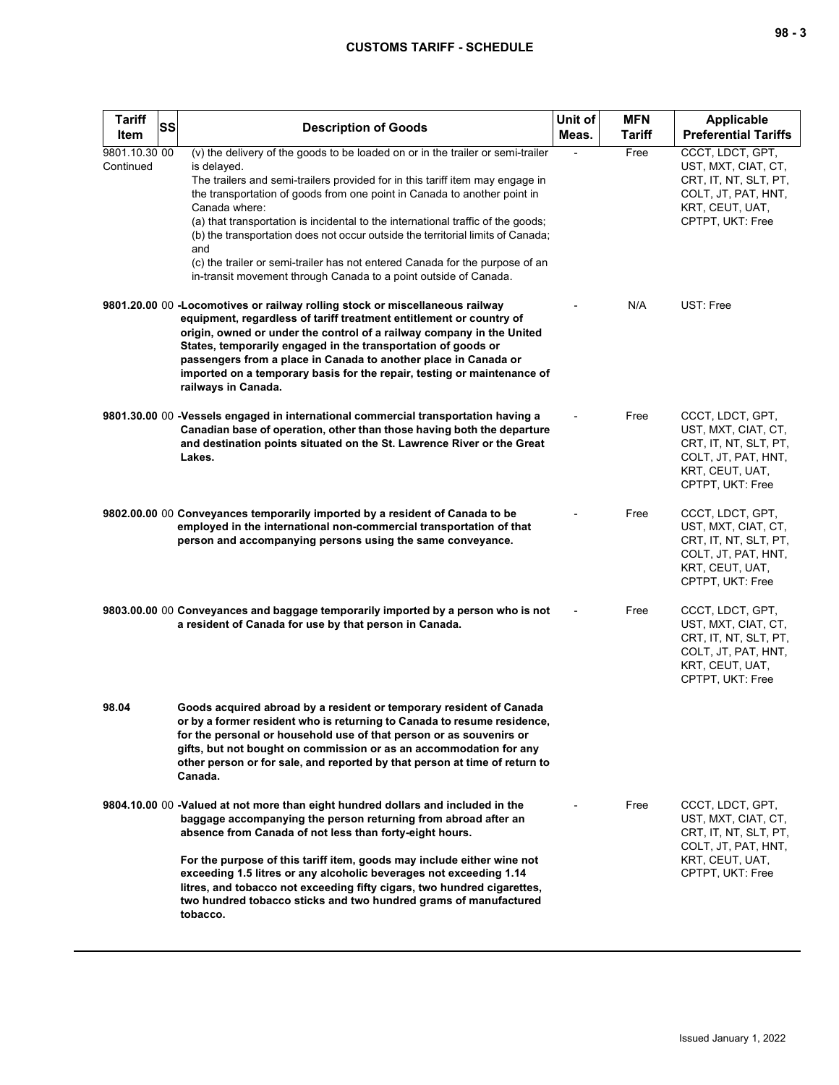| <b>Tariff</b><br>SS<br>Item | <b>Description of Goods</b>                                                                                                                                                                                                                                                                                                                                                                                                                                                                                                                                                                                    | Unit of<br>Meas. | <b>MFN</b><br><b>Tariff</b> | <b>Applicable</b><br><b>Preferential Tariffs</b>                                                                               |
|-----------------------------|----------------------------------------------------------------------------------------------------------------------------------------------------------------------------------------------------------------------------------------------------------------------------------------------------------------------------------------------------------------------------------------------------------------------------------------------------------------------------------------------------------------------------------------------------------------------------------------------------------------|------------------|-----------------------------|--------------------------------------------------------------------------------------------------------------------------------|
| 9801.10.30 00<br>Continued  | (v) the delivery of the goods to be loaded on or in the trailer or semi-trailer<br>is delayed.<br>The trailers and semi-trailers provided for in this tariff item may engage in<br>the transportation of goods from one point in Canada to another point in<br>Canada where:<br>(a) that transportation is incidental to the international traffic of the goods;<br>(b) the transportation does not occur outside the territorial limits of Canada;<br>and<br>(c) the trailer or semi-trailer has not entered Canada for the purpose of an<br>in-transit movement through Canada to a point outside of Canada. |                  | Free                        | CCCT, LDCT, GPT,<br>UST, MXT, CIAT, CT,<br>CRT, IT, NT, SLT, PT,<br>COLT, JT, PAT, HNT,<br>KRT, CEUT, UAT,<br>CPTPT, UKT: Free |
|                             | 9801.20.00 00 - Locomotives or railway rolling stock or miscellaneous railway<br>equipment, regardless of tariff treatment entitlement or country of<br>origin, owned or under the control of a railway company in the United<br>States, temporarily engaged in the transportation of goods or<br>passengers from a place in Canada to another place in Canada or<br>imported on a temporary basis for the repair, testing or maintenance of<br>railways in Canada.                                                                                                                                            |                  | N/A                         | UST: Free                                                                                                                      |
|                             | 9801.30.00 00 -Vessels engaged in international commercial transportation having a<br>Canadian base of operation, other than those having both the departure<br>and destination points situated on the St. Lawrence River or the Great<br>Lakes.                                                                                                                                                                                                                                                                                                                                                               |                  | Free                        | CCCT, LDCT, GPT,<br>UST, MXT, CIAT, CT,<br>CRT, IT, NT, SLT, PT,<br>COLT, JT, PAT, HNT,<br>KRT, CEUT, UAT,<br>CPTPT, UKT: Free |
|                             | 9802.00.00 00 Conveyances temporarily imported by a resident of Canada to be<br>employed in the international non-commercial transportation of that<br>person and accompanying persons using the same conveyance.                                                                                                                                                                                                                                                                                                                                                                                              |                  | Free                        | CCCT, LDCT, GPT,<br>UST, MXT, CIAT, CT,<br>CRT, IT, NT, SLT, PT,<br>COLT, JT, PAT, HNT,<br>KRT, CEUT, UAT,<br>CPTPT, UKT: Free |
|                             | 9803.00.00 00 Conveyances and baggage temporarily imported by a person who is not<br>a resident of Canada for use by that person in Canada.                                                                                                                                                                                                                                                                                                                                                                                                                                                                    |                  | Free                        | CCCT, LDCT, GPT,<br>UST, MXT, CIAT, CT,<br>CRT, IT, NT, SLT, PT,<br>COLT, JT, PAT, HNT,<br>KRT, CEUT, UAT,<br>CPTPT, UKT: Free |
| 98.04                       | Goods acquired abroad by a resident or temporary resident of Canada<br>or by a former resident who is returning to Canada to resume residence,<br>for the personal or household use of that person or as souvenirs or<br>gifts, but not bought on commission or as an accommodation for any<br>other person or for sale, and reported by that person at time of return to<br>Canada.                                                                                                                                                                                                                           |                  |                             |                                                                                                                                |
|                             | 9804.10.00 00 -Valued at not more than eight hundred dollars and included in the<br>baggage accompanying the person returning from abroad after an<br>absence from Canada of not less than forty-eight hours.<br>For the purpose of this tariff item, goods may include either wine not<br>exceeding 1.5 litres or any alcoholic beverages not exceeding 1.14<br>litres, and tobacco not exceeding fifty cigars, two hundred cigarettes,<br>two hundred tobacco sticks and two hundred grams of manufactured                                                                                                   |                  | Free                        | CCCT, LDCT, GPT,<br>UST, MXT, CIAT, CT,<br>CRT, IT, NT, SLT, PT,<br>COLT, JT, PAT, HNT,<br>KRT, CEUT, UAT,<br>CPTPT, UKT: Free |
|                             | tobacco.                                                                                                                                                                                                                                                                                                                                                                                                                                                                                                                                                                                                       |                  |                             |                                                                                                                                |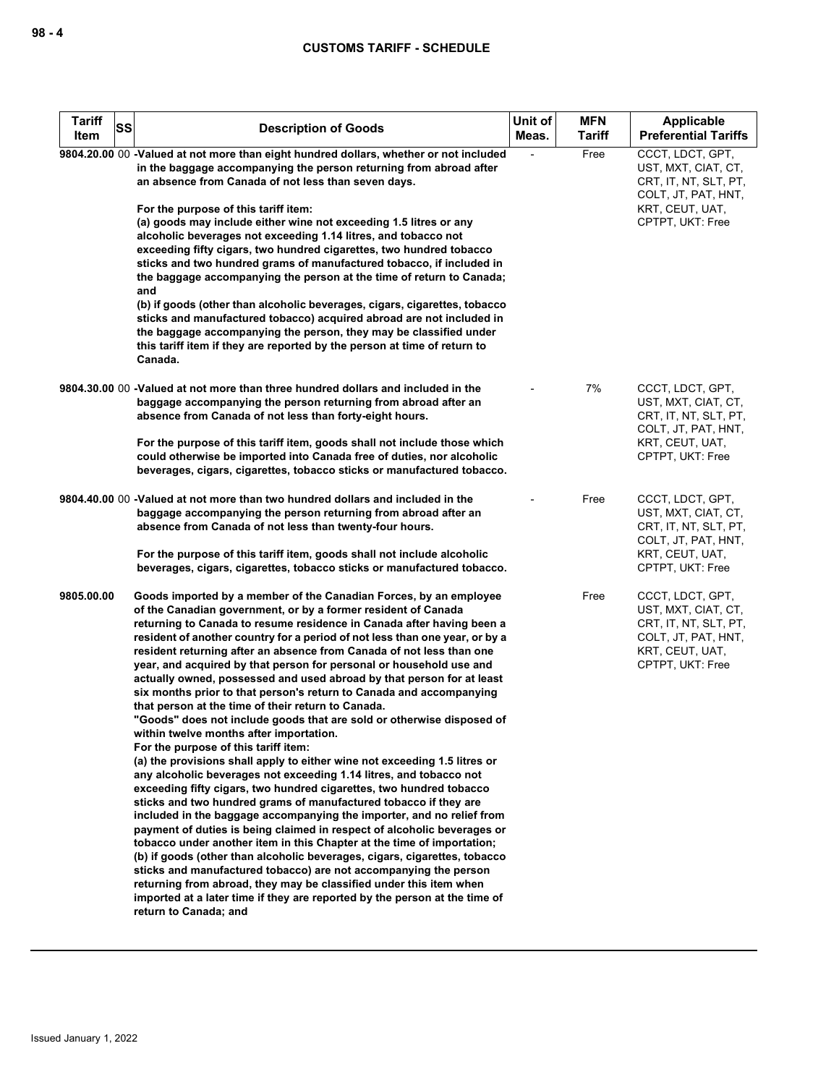| <b>Tariff</b><br>SS<br>Item | <b>Description of Goods</b>                                                                                                                                                                                                                                                                                                                                                                                                                                                                                                                                                                                                                                                                                                                                                                                                                                                                                                                                                                                                                                                                                                                                                                                                                                                                                                                                                                                                                                                                                                                                                                                                                                           | Unit of<br>Meas. | <b>MFN</b><br><b>Tariff</b> | Applicable<br><b>Preferential Tariffs</b>                                                                                      |
|-----------------------------|-----------------------------------------------------------------------------------------------------------------------------------------------------------------------------------------------------------------------------------------------------------------------------------------------------------------------------------------------------------------------------------------------------------------------------------------------------------------------------------------------------------------------------------------------------------------------------------------------------------------------------------------------------------------------------------------------------------------------------------------------------------------------------------------------------------------------------------------------------------------------------------------------------------------------------------------------------------------------------------------------------------------------------------------------------------------------------------------------------------------------------------------------------------------------------------------------------------------------------------------------------------------------------------------------------------------------------------------------------------------------------------------------------------------------------------------------------------------------------------------------------------------------------------------------------------------------------------------------------------------------------------------------------------------------|------------------|-----------------------------|--------------------------------------------------------------------------------------------------------------------------------|
|                             | 9804.20.00 00 -Valued at not more than eight hundred dollars, whether or not included<br>in the baggage accompanying the person returning from abroad after<br>an absence from Canada of not less than seven days.<br>For the purpose of this tariff item:<br>(a) goods may include either wine not exceeding 1.5 litres or any<br>alcoholic beverages not exceeding 1.14 litres, and tobacco not<br>exceeding fifty cigars, two hundred cigarettes, two hundred tobacco<br>sticks and two hundred grams of manufactured tobacco, if included in<br>the baggage accompanying the person at the time of return to Canada;<br>and<br>(b) if goods (other than alcoholic beverages, cigars, cigarettes, tobacco<br>sticks and manufactured tobacco) acquired abroad are not included in<br>the baggage accompanying the person, they may be classified under<br>this tariff item if they are reported by the person at time of return to<br>Canada.                                                                                                                                                                                                                                                                                                                                                                                                                                                                                                                                                                                                                                                                                                                      |                  | Free                        | CCCT, LDCT, GPT,<br>UST, MXT, CIAT, CT,<br>CRT, IT, NT, SLT, PT,<br>COLT, JT, PAT, HNT,<br>KRT, CEUT, UAT,<br>CPTPT, UKT: Free |
|                             | 9804.30.00 00 -Valued at not more than three hundred dollars and included in the<br>baggage accompanying the person returning from abroad after an<br>absence from Canada of not less than forty-eight hours.<br>For the purpose of this tariff item, goods shall not include those which<br>could otherwise be imported into Canada free of duties, nor alcoholic<br>beverages, cigars, cigarettes, tobacco sticks or manufactured tobacco.                                                                                                                                                                                                                                                                                                                                                                                                                                                                                                                                                                                                                                                                                                                                                                                                                                                                                                                                                                                                                                                                                                                                                                                                                          |                  | 7%                          | CCCT, LDCT, GPT,<br>UST, MXT, CIAT, CT,<br>CRT, IT, NT, SLT, PT,<br>COLT, JT, PAT, HNT,<br>KRT, CEUT, UAT,<br>CPTPT, UKT: Free |
|                             | 9804.40.00 00 -Valued at not more than two hundred dollars and included in the<br>baggage accompanying the person returning from abroad after an<br>absence from Canada of not less than twenty-four hours.<br>For the purpose of this tariff item, goods shall not include alcoholic<br>beverages, cigars, cigarettes, tobacco sticks or manufactured tobacco.                                                                                                                                                                                                                                                                                                                                                                                                                                                                                                                                                                                                                                                                                                                                                                                                                                                                                                                                                                                                                                                                                                                                                                                                                                                                                                       |                  | Free                        | CCCT, LDCT, GPT,<br>UST, MXT, CIAT, CT,<br>CRT, IT, NT, SLT, PT,<br>COLT, JT, PAT, HNT,<br>KRT, CEUT, UAT,<br>CPTPT, UKT: Free |
| 9805.00.00                  | Goods imported by a member of the Canadian Forces, by an employee<br>of the Canadian government, or by a former resident of Canada<br>returning to Canada to resume residence in Canada after having been a<br>resident of another country for a period of not less than one year, or by a<br>resident returning after an absence from Canada of not less than one<br>year, and acquired by that person for personal or household use and<br>actually owned, possessed and used abroad by that person for at least<br>six months prior to that person's return to Canada and accompanying<br>that person at the time of their return to Canada.<br>"Goods" does not include goods that are sold or otherwise disposed of<br>within twelve months after importation.<br>For the purpose of this tariff item:<br>(a) the provisions shall apply to either wine not exceeding 1.5 litres or<br>any alcoholic beverages not exceeding 1.14 litres, and tobacco not<br>exceeding fifty cigars, two hundred cigarettes, two hundred tobacco<br>sticks and two hundred grams of manufactured tobacco if they are<br>included in the baggage accompanying the importer, and no relief from<br>payment of duties is being claimed in respect of alcoholic beverages or<br>tobacco under another item in this Chapter at the time of importation;<br>(b) if goods (other than alcoholic beverages, cigars, cigarettes, tobacco<br>sticks and manufactured tobacco) are not accompanying the person<br>returning from abroad, they may be classified under this item when<br>imported at a later time if they are reported by the person at the time of<br>return to Canada; and |                  | Free                        | CCCT, LDCT, GPT,<br>UST, MXT, CIAT, CT,<br>CRT, IT, NT, SLT, PT,<br>COLT, JT, PAT, HNT,<br>KRT, CEUT, UAT,<br>CPTPT, UKT: Free |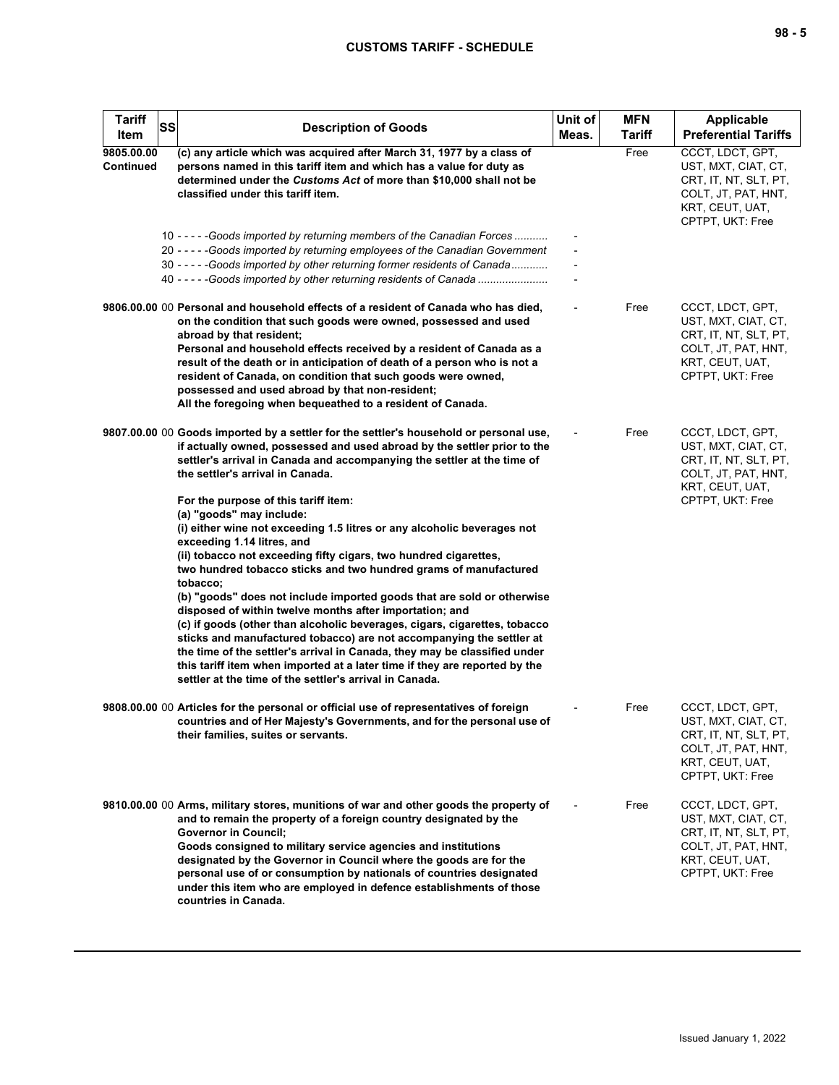| <b>Tariff</b><br>Item   | SS | <b>Description of Goods</b>                                                                                                                                                                                                                                                                                                                                                                                                                                                                                                                                                                                                                                                                                                                                                                           | Unit of<br>Meas. | <b>MFN</b><br><b>Tariff</b> | <b>Applicable</b><br><b>Preferential Tariffs</b>                                                                               |
|-------------------------|----|-------------------------------------------------------------------------------------------------------------------------------------------------------------------------------------------------------------------------------------------------------------------------------------------------------------------------------------------------------------------------------------------------------------------------------------------------------------------------------------------------------------------------------------------------------------------------------------------------------------------------------------------------------------------------------------------------------------------------------------------------------------------------------------------------------|------------------|-----------------------------|--------------------------------------------------------------------------------------------------------------------------------|
| 9805.00.00<br>Continued |    | (c) any article which was acquired after March 31, 1977 by a class of<br>persons named in this tariff item and which has a value for duty as<br>determined under the Customs Act of more than \$10,000 shall not be<br>classified under this tariff item.                                                                                                                                                                                                                                                                                                                                                                                                                                                                                                                                             |                  | Free                        | CCCT, LDCT, GPT,<br>UST, MXT, CIAT, CT,<br>CRT, IT, NT, SLT, PT,<br>COLT, JT, PAT, HNT,<br>KRT, CEUT, UAT,<br>CPTPT, UKT: Free |
|                         |    | 10 - - - - - Goods imported by returning members of the Canadian Forces<br>20 - - - - - Goods imported by returning employees of the Canadian Government<br>30 - - - - - Goods imported by other returning former residents of Canada<br>40 - - - - - Goods imported by other returning residents of Canada                                                                                                                                                                                                                                                                                                                                                                                                                                                                                           |                  |                             |                                                                                                                                |
|                         |    | 9806.00.00 00 Personal and household effects of a resident of Canada who has died,<br>on the condition that such goods were owned, possessed and used<br>abroad by that resident;<br>Personal and household effects received by a resident of Canada as a<br>result of the death or in anticipation of death of a person who is not a<br>resident of Canada, on condition that such goods were owned,<br>possessed and used abroad by that non-resident;<br>All the foregoing when bequeathed to a resident of Canada.                                                                                                                                                                                                                                                                                |                  | Free                        | CCCT, LDCT, GPT,<br>UST, MXT, CIAT, CT,<br>CRT, IT, NT, SLT, PT,<br>COLT, JT, PAT, HNT,<br>KRT, CEUT, UAT,<br>CPTPT, UKT: Free |
|                         |    | 9807.00.00 00 Goods imported by a settler for the settler's household or personal use,<br>if actually owned, possessed and used abroad by the settler prior to the<br>settler's arrival in Canada and accompanying the settler at the time of<br>the settler's arrival in Canada.<br>For the purpose of this tariff item:                                                                                                                                                                                                                                                                                                                                                                                                                                                                             |                  | Free                        | CCCT, LDCT, GPT,<br>UST, MXT, CIAT, CT,<br>CRT, IT, NT, SLT, PT,<br>COLT, JT, PAT, HNT,<br>KRT, CEUT, UAT,<br>CPTPT, UKT: Free |
|                         |    | (a) "goods" may include:<br>(i) either wine not exceeding 1.5 litres or any alcoholic beverages not<br>exceeding 1.14 litres, and<br>(ii) tobacco not exceeding fifty cigars, two hundred cigarettes,<br>two hundred tobacco sticks and two hundred grams of manufactured<br>tobacco;<br>(b) "goods" does not include imported goods that are sold or otherwise<br>disposed of within twelve months after importation; and<br>(c) if goods (other than alcoholic beverages, cigars, cigarettes, tobacco<br>sticks and manufactured tobacco) are not accompanying the settler at<br>the time of the settler's arrival in Canada, they may be classified under<br>this tariff item when imported at a later time if they are reported by the<br>settler at the time of the settler's arrival in Canada. |                  |                             |                                                                                                                                |
|                         |    | 9808.00.00 00 Articles for the personal or official use of representatives of foreign<br>countries and of Her Majesty's Governments, and for the personal use of<br>their families, suites or servants.                                                                                                                                                                                                                                                                                                                                                                                                                                                                                                                                                                                               |                  | Free                        | CCCT, LDCT, GPT,<br>UST, MXT, CIAT, CT,<br>CRT, IT, NT, SLT, PT,<br>COLT, JT, PAT, HNT,<br>KRT, CEUT, UAT,<br>CPTPT, UKT: Free |
|                         |    | 9810.00.00 00 Arms, military stores, munitions of war and other goods the property of<br>and to remain the property of a foreign country designated by the<br><b>Governor in Council;</b><br>Goods consigned to military service agencies and institutions<br>designated by the Governor in Council where the goods are for the<br>personal use of or consumption by nationals of countries designated<br>under this item who are employed in defence establishments of those<br>countries in Canada.                                                                                                                                                                                                                                                                                                 |                  | Free                        | CCCT, LDCT, GPT,<br>UST, MXT, CIAT, CT,<br>CRT, IT, NT, SLT, PT,<br>COLT, JT, PAT, HNT,<br>KRT, CEUT, UAT,<br>CPTPT, UKT: Free |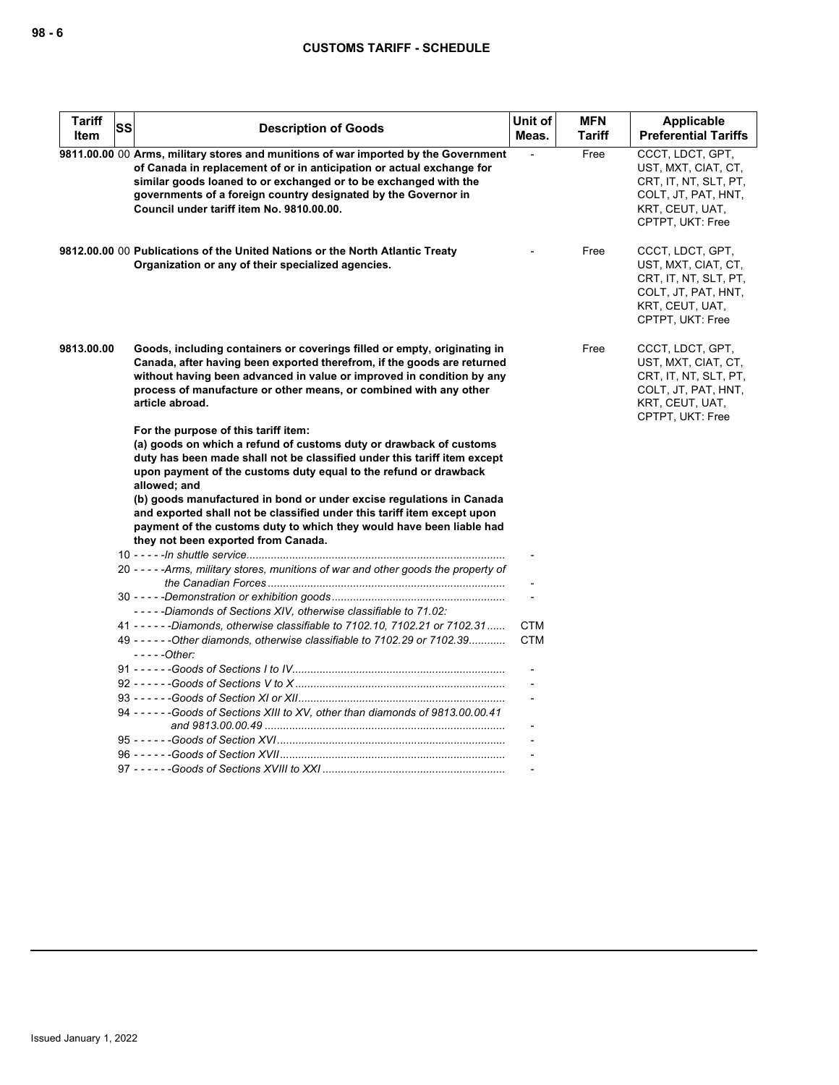| <b>Tariff</b><br><b>Item</b> | <b>SS</b> | <b>Description of Goods</b>                                                                                                                                                                                                                                                                                                                                                                                                                                                                                                                  | Unit of<br>Meas.         | <b>MFN</b><br><b>Tariff</b> | <b>Applicable</b><br><b>Preferential Tariffs</b>                                                                               |
|------------------------------|-----------|----------------------------------------------------------------------------------------------------------------------------------------------------------------------------------------------------------------------------------------------------------------------------------------------------------------------------------------------------------------------------------------------------------------------------------------------------------------------------------------------------------------------------------------------|--------------------------|-----------------------------|--------------------------------------------------------------------------------------------------------------------------------|
|                              |           | 9811.00.00 00 Arms, military stores and munitions of war imported by the Government<br>of Canada in replacement of or in anticipation or actual exchange for<br>similar goods loaned to or exchanged or to be exchanged with the<br>governments of a foreign country designated by the Governor in<br>Council under tariff item No. 9810.00.00.                                                                                                                                                                                              |                          | Free                        | CCCT, LDCT, GPT,<br>UST, MXT, CIAT, CT,<br>CRT, IT, NT, SLT, PT,<br>COLT, JT, PAT, HNT,<br>KRT, CEUT, UAT,<br>CPTPT, UKT: Free |
|                              |           | 9812.00.00 00 Publications of the United Nations or the North Atlantic Treaty<br>Organization or any of their specialized agencies.                                                                                                                                                                                                                                                                                                                                                                                                          |                          | Free                        | CCCT, LDCT, GPT,<br>UST, MXT, CIAT, CT,<br>CRT, IT, NT, SLT, PT,<br>COLT, JT, PAT, HNT,<br>KRT, CEUT, UAT,<br>CPTPT, UKT: Free |
| 9813.00.00                   |           | Goods, including containers or coverings filled or empty, originating in<br>Canada, after having been exported therefrom, if the goods are returned<br>without having been advanced in value or improved in condition by any<br>process of manufacture or other means, or combined with any other<br>article abroad.                                                                                                                                                                                                                         |                          | Free                        | CCCT, LDCT, GPT,<br>UST, MXT, CIAT, CT,<br>CRT, IT, NT, SLT, PT,<br>COLT, JT, PAT, HNT,<br>KRT, CEUT, UAT,<br>CPTPT, UKT: Free |
|                              |           | For the purpose of this tariff item:<br>(a) goods on which a refund of customs duty or drawback of customs<br>duty has been made shall not be classified under this tariff item except<br>upon payment of the customs duty equal to the refund or drawback<br>allowed; and<br>(b) goods manufactured in bond or under excise regulations in Canada<br>and exported shall not be classified under this tariff item except upon<br>payment of the customs duty to which they would have been liable had<br>they not been exported from Canada. |                          |                             |                                                                                                                                |
|                              |           | 20 - - - - - Arms, military stores, munitions of war and other goods the property of                                                                                                                                                                                                                                                                                                                                                                                                                                                         |                          |                             |                                                                                                                                |
|                              |           | -----Diamonds of Sections XIV, otherwise classifiable to 71.02:<br>41 - - - - - Diamonds, otherwise classifiable to 7102.10, 7102.21 or 7102.31                                                                                                                                                                                                                                                                                                                                                                                              | <b>CTM</b><br><b>CTM</b> |                             |                                                                                                                                |
|                              |           | 49 - - - - - - Other diamonds, otherwise classifiable to 7102.29 or 7102.39<br>$---Other:$                                                                                                                                                                                                                                                                                                                                                                                                                                                   |                          |                             |                                                                                                                                |
|                              |           |                                                                                                                                                                                                                                                                                                                                                                                                                                                                                                                                              |                          |                             |                                                                                                                                |
|                              |           | 94 ------Goods of Sections XIII to XV, other than diamonds of 9813,00,00.41                                                                                                                                                                                                                                                                                                                                                                                                                                                                  |                          |                             |                                                                                                                                |
|                              |           |                                                                                                                                                                                                                                                                                                                                                                                                                                                                                                                                              |                          |                             |                                                                                                                                |
|                              |           |                                                                                                                                                                                                                                                                                                                                                                                                                                                                                                                                              |                          |                             |                                                                                                                                |
|                              |           |                                                                                                                                                                                                                                                                                                                                                                                                                                                                                                                                              |                          |                             |                                                                                                                                |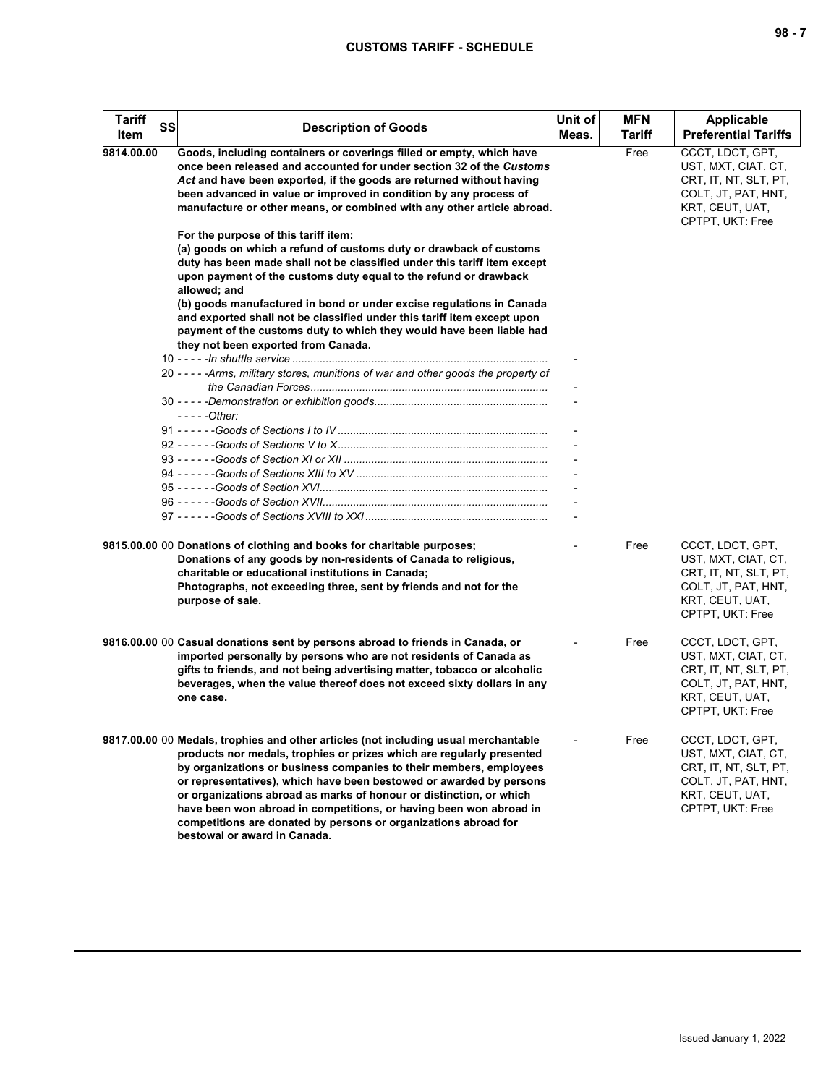| <b>Tariff</b><br>Item | SS | <b>Description of Goods</b>                                                                                                                                                                                                                                                                                                                                                                                                                                                                                                                               | Unit of<br>Meas. | <b>MFN</b><br>Tariff | Applicable<br><b>Preferential Tariffs</b>                                                                                      |
|-----------------------|----|-----------------------------------------------------------------------------------------------------------------------------------------------------------------------------------------------------------------------------------------------------------------------------------------------------------------------------------------------------------------------------------------------------------------------------------------------------------------------------------------------------------------------------------------------------------|------------------|----------------------|--------------------------------------------------------------------------------------------------------------------------------|
| 9814.00.00            |    | Goods, including containers or coverings filled or empty, which have<br>once been released and accounted for under section 32 of the Customs<br>Act and have been exported, if the goods are returned without having<br>been advanced in value or improved in condition by any process of<br>manufacture or other means, or combined with any other article abroad.<br>For the purpose of this tariff item:                                                                                                                                               |                  | Free                 | CCCT. LDCT. GPT.<br>UST, MXT, CIAT, CT,<br>CRT, IT, NT, SLT, PT,<br>COLT, JT, PAT, HNT,<br>KRT, CEUT, UAT,<br>CPTPT, UKT: Free |
|                       |    | (a) goods on which a refund of customs duty or drawback of customs<br>duty has been made shall not be classified under this tariff item except<br>upon payment of the customs duty equal to the refund or drawback<br>allowed; and<br>(b) goods manufactured in bond or under excise regulations in Canada<br>and exported shall not be classified under this tariff item except upon                                                                                                                                                                     |                  |                      |                                                                                                                                |
|                       |    | payment of the customs duty to which they would have been liable had<br>they not been exported from Canada.                                                                                                                                                                                                                                                                                                                                                                                                                                               |                  |                      |                                                                                                                                |
|                       |    | 20 - - - - - Arms, military stores, munitions of war and other goods the property of                                                                                                                                                                                                                                                                                                                                                                                                                                                                      |                  |                      |                                                                                                                                |
|                       |    | - - - - - Other:                                                                                                                                                                                                                                                                                                                                                                                                                                                                                                                                          |                  |                      |                                                                                                                                |
|                       |    |                                                                                                                                                                                                                                                                                                                                                                                                                                                                                                                                                           |                  |                      |                                                                                                                                |
|                       |    |                                                                                                                                                                                                                                                                                                                                                                                                                                                                                                                                                           |                  |                      |                                                                                                                                |
|                       |    | 9815.00.00 00 Donations of clothing and books for charitable purposes;<br>Donations of any goods by non-residents of Canada to religious,<br>charitable or educational institutions in Canada;<br>Photographs, not exceeding three, sent by friends and not for the<br>purpose of sale.                                                                                                                                                                                                                                                                   |                  | Free                 | CCCT, LDCT, GPT,<br>UST, MXT, CIAT, CT,<br>CRT, IT, NT, SLT, PT,<br>COLT, JT, PAT, HNT,<br>KRT, CEUT, UAT,<br>CPTPT, UKT: Free |
|                       |    | 9816.00.00 00 Casual donations sent by persons abroad to friends in Canada, or<br>imported personally by persons who are not residents of Canada as<br>gifts to friends, and not being advertising matter, tobacco or alcoholic<br>beverages, when the value thereof does not exceed sixty dollars in any<br>one case.                                                                                                                                                                                                                                    |                  | Free                 | CCCT, LDCT, GPT,<br>UST, MXT, CIAT, CT,<br>CRT, IT, NT, SLT, PT,<br>COLT, JT, PAT, HNT,<br>KRT, CEUT, UAT,<br>CPTPT, UKT: Free |
|                       |    | 9817.00.00 00 Medals, trophies and other articles (not including usual merchantable<br>products nor medals, trophies or prizes which are reqularly presented<br>by organizations or business companies to their members, employees<br>or representatives), which have been bestowed or awarded by persons<br>or organizations abroad as marks of honour or distinction, or which<br>have been won abroad in competitions, or having been won abroad in<br>competitions are donated by persons or organizations abroad for<br>bestowal or award in Canada. |                  | Free                 | CCCT, LDCT, GPT,<br>UST, MXT, CIAT, CT,<br>CRT, IT, NT, SLT, PT,<br>COLT, JT, PAT, HNT,<br>KRT, CEUT, UAT,<br>CPTPT, UKT: Free |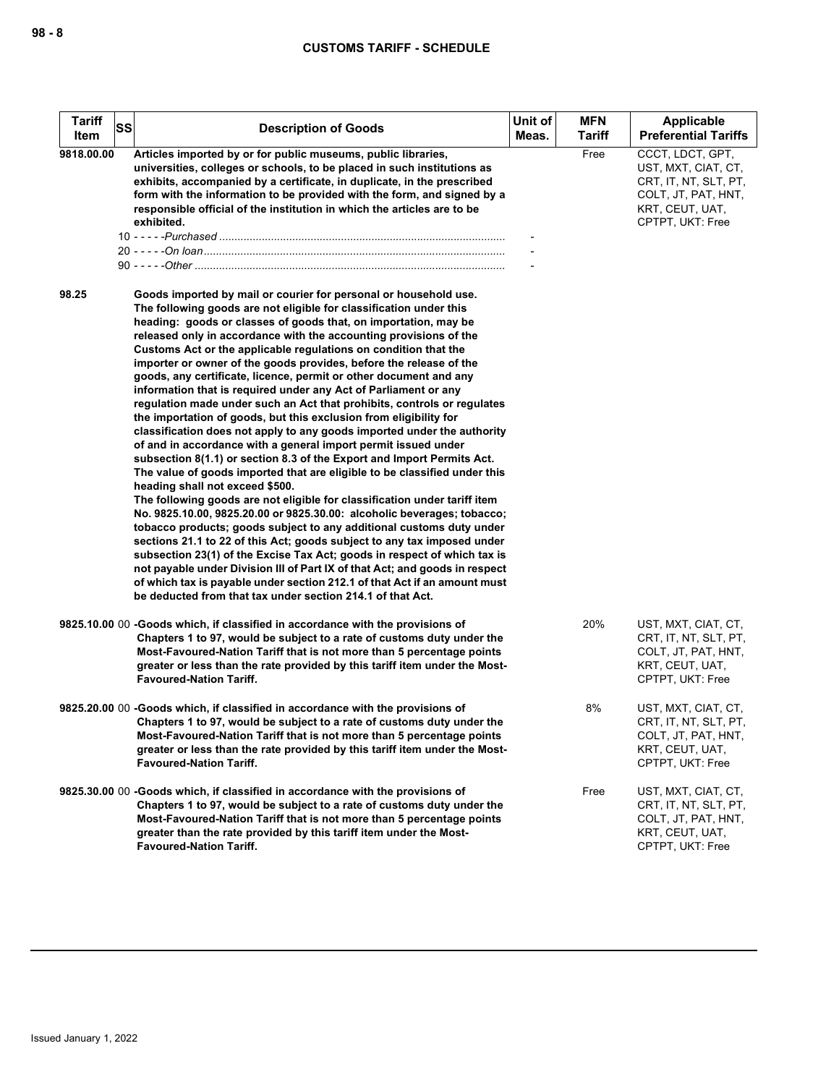| <b>Tariff</b><br>Item | SS | <b>Description of Goods</b>                                                                                                                                                                                                                                                                                                                                                                                                                                                                                                                                                                                                                                                                                                                                                                                                                                                                                                                                                                                                                                                                                                                                                                                                                                                                                                                                                                                                                                                                                                                                                                                                                                             | Unit of<br>Meas. | <b>MFN</b><br><b>Tariff</b> | Applicable<br><b>Preferential Tariffs</b>                                                                                      |
|-----------------------|----|-------------------------------------------------------------------------------------------------------------------------------------------------------------------------------------------------------------------------------------------------------------------------------------------------------------------------------------------------------------------------------------------------------------------------------------------------------------------------------------------------------------------------------------------------------------------------------------------------------------------------------------------------------------------------------------------------------------------------------------------------------------------------------------------------------------------------------------------------------------------------------------------------------------------------------------------------------------------------------------------------------------------------------------------------------------------------------------------------------------------------------------------------------------------------------------------------------------------------------------------------------------------------------------------------------------------------------------------------------------------------------------------------------------------------------------------------------------------------------------------------------------------------------------------------------------------------------------------------------------------------------------------------------------------------|------------------|-----------------------------|--------------------------------------------------------------------------------------------------------------------------------|
| 9818.00.00            |    | Articles imported by or for public museums, public libraries,<br>universities, colleges or schools, to be placed in such institutions as<br>exhibits, accompanied by a certificate, in duplicate, in the prescribed<br>form with the information to be provided with the form, and signed by a<br>responsible official of the institution in which the articles are to be<br>exhibited.                                                                                                                                                                                                                                                                                                                                                                                                                                                                                                                                                                                                                                                                                                                                                                                                                                                                                                                                                                                                                                                                                                                                                                                                                                                                                 |                  | Free                        | CCCT, LDCT, GPT,<br>UST, MXT, CIAT, CT,<br>CRT, IT, NT, SLT, PT,<br>COLT, JT, PAT, HNT,<br>KRT, CEUT, UAT,<br>CPTPT, UKT: Free |
| 98.25                 |    | Goods imported by mail or courier for personal or household use.<br>The following goods are not eligible for classification under this<br>heading: goods or classes of goods that, on importation, may be<br>released only in accordance with the accounting provisions of the<br>Customs Act or the applicable regulations on condition that the<br>importer or owner of the goods provides, before the release of the<br>goods, any certificate, licence, permit or other document and any<br>information that is required under any Act of Parliament or any<br>regulation made under such an Act that prohibits, controls or regulates<br>the importation of goods, but this exclusion from eligibility for<br>classification does not apply to any goods imported under the authority<br>of and in accordance with a general import permit issued under<br>subsection 8(1.1) or section 8.3 of the Export and Import Permits Act.<br>The value of goods imported that are eligible to be classified under this<br>heading shall not exceed \$500.<br>The following goods are not eligible for classification under tariff item<br>No. 9825.10.00, 9825.20.00 or 9825.30.00: alcoholic beverages; tobacco;<br>tobacco products; goods subject to any additional customs duty under<br>sections 21.1 to 22 of this Act; goods subject to any tax imposed under<br>subsection 23(1) of the Excise Tax Act; goods in respect of which tax is<br>not payable under Division III of Part IX of that Act; and goods in respect<br>of which tax is payable under section 212.1 of that Act if an amount must<br>be deducted from that tax under section 214.1 of that Act. |                  |                             |                                                                                                                                |
|                       |    | 9825.10.00 00 -Goods which, if classified in accordance with the provisions of<br>Chapters 1 to 97, would be subject to a rate of customs duty under the<br>Most-Favoured-Nation Tariff that is not more than 5 percentage points<br>greater or less than the rate provided by this tariff item under the Most-<br><b>Favoured-Nation Tariff.</b>                                                                                                                                                                                                                                                                                                                                                                                                                                                                                                                                                                                                                                                                                                                                                                                                                                                                                                                                                                                                                                                                                                                                                                                                                                                                                                                       |                  | 20%                         | UST, MXT, CIAT, CT,<br>CRT, IT, NT, SLT, PT,<br>COLT, JT, PAT, HNT,<br>KRT, CEUT, UAT,<br>CPTPT, UKT: Free                     |
|                       |    | 9825.20.00 00 -Goods which, if classified in accordance with the provisions of<br>Chapters 1 to 97, would be subject to a rate of customs duty under the<br>Most-Favoured-Nation Tariff that is not more than 5 percentage points<br>greater or less than the rate provided by this tariff item under the Most-<br><b>Favoured-Nation Tariff.</b>                                                                                                                                                                                                                                                                                                                                                                                                                                                                                                                                                                                                                                                                                                                                                                                                                                                                                                                                                                                                                                                                                                                                                                                                                                                                                                                       |                  | 8%                          | UST, MXT, CIAT, CT,<br>CRT, IT, NT, SLT, PT,<br>COLT, JT, PAT, HNT,<br>KRT, CEUT, UAT,<br>CPTPT, UKT: Free                     |
|                       |    | 9825.30.00 00 -Goods which, if classified in accordance with the provisions of<br>Chapters 1 to 97, would be subject to a rate of customs duty under the<br>Most-Favoured-Nation Tariff that is not more than 5 percentage points<br>greater than the rate provided by this tariff item under the Most-<br><b>Favoured-Nation Tariff.</b>                                                                                                                                                                                                                                                                                                                                                                                                                                                                                                                                                                                                                                                                                                                                                                                                                                                                                                                                                                                                                                                                                                                                                                                                                                                                                                                               |                  | Free                        | UST, MXT, CIAT, CT,<br>CRT, IT, NT, SLT, PT,<br>COLT, JT, PAT, HNT,<br>KRT, CEUT, UAT,<br>CPTPT, UKT: Free                     |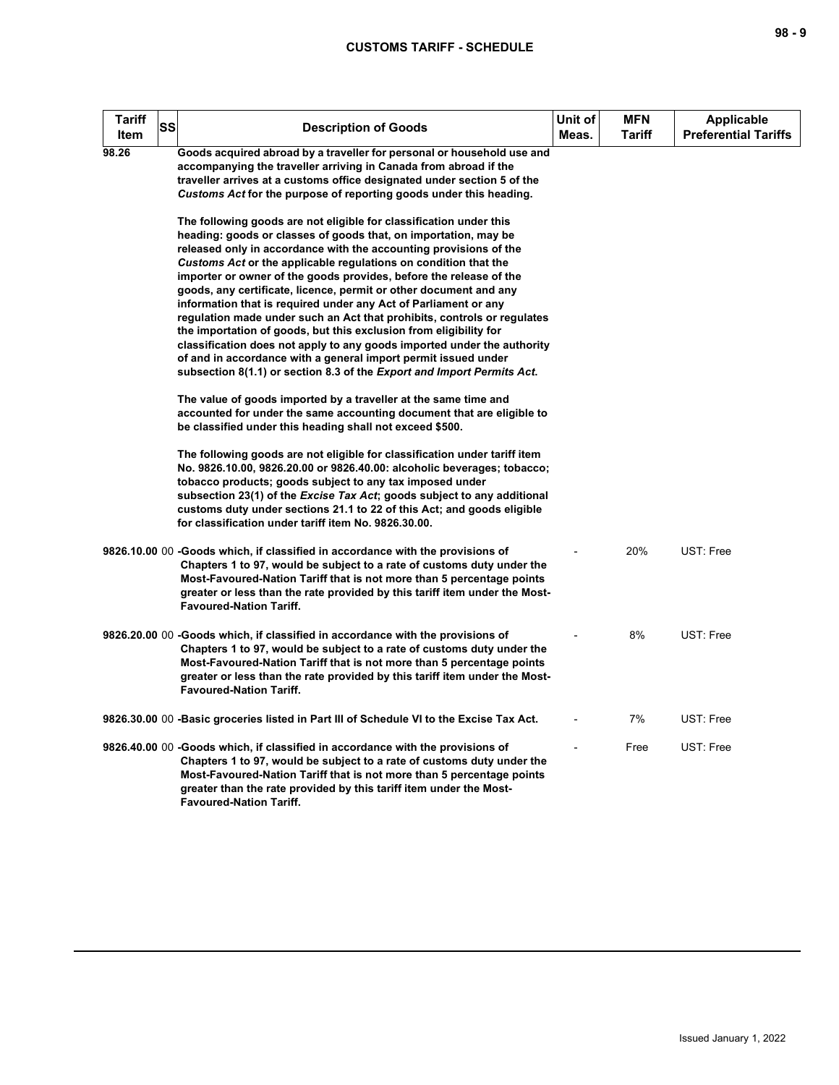| Tariff<br>ltem | <b>SS</b> | <b>Description of Goods</b>                                                                                                                                                                                                                                                                                                                                                                                                                                                                                                                                                                                                                                                                                                                                                                                                                                        | Unit of<br>Meas. | <b>MFN</b><br>Tariff | <b>Applicable</b><br><b>Preferential Tariffs</b> |
|----------------|-----------|--------------------------------------------------------------------------------------------------------------------------------------------------------------------------------------------------------------------------------------------------------------------------------------------------------------------------------------------------------------------------------------------------------------------------------------------------------------------------------------------------------------------------------------------------------------------------------------------------------------------------------------------------------------------------------------------------------------------------------------------------------------------------------------------------------------------------------------------------------------------|------------------|----------------------|--------------------------------------------------|
| 98.26          |           | Goods acquired abroad by a traveller for personal or household use and<br>accompanying the traveller arriving in Canada from abroad if the<br>traveller arrives at a customs office designated under section 5 of the<br>Customs Act for the purpose of reporting goods under this heading.                                                                                                                                                                                                                                                                                                                                                                                                                                                                                                                                                                        |                  |                      |                                                  |
|                |           | The following goods are not eligible for classification under this<br>heading: goods or classes of goods that, on importation, may be<br>released only in accordance with the accounting provisions of the<br>Customs Act or the applicable regulations on condition that the<br>importer or owner of the goods provides, before the release of the<br>goods, any certificate, licence, permit or other document and any<br>information that is required under any Act of Parliament or any<br>regulation made under such an Act that prohibits, controls or regulates<br>the importation of goods, but this exclusion from eligibility for<br>classification does not apply to any goods imported under the authority<br>of and in accordance with a general import permit issued under<br>subsection 8(1.1) or section 8.3 of the Export and Import Permits Act. |                  |                      |                                                  |
|                |           | The value of goods imported by a traveller at the same time and<br>accounted for under the same accounting document that are eligible to<br>be classified under this heading shall not exceed \$500.                                                                                                                                                                                                                                                                                                                                                                                                                                                                                                                                                                                                                                                               |                  |                      |                                                  |
|                |           | The following goods are not eligible for classification under tariff item<br>No. 9826.10.00, 9826.20.00 or 9826.40.00: alcoholic beverages; tobacco;<br>tobacco products; goods subject to any tax imposed under<br>subsection 23(1) of the Excise Tax Act; goods subject to any additional<br>customs duty under sections 21.1 to 22 of this Act; and goods eligible<br>for classification under tariff item No. 9826.30.00.                                                                                                                                                                                                                                                                                                                                                                                                                                      |                  |                      |                                                  |
|                |           | 9826.10.00 00 -Goods which, if classified in accordance with the provisions of<br>Chapters 1 to 97, would be subject to a rate of customs duty under the<br>Most-Favoured-Nation Tariff that is not more than 5 percentage points<br>greater or less than the rate provided by this tariff item under the Most-<br><b>Favoured-Nation Tariff.</b>                                                                                                                                                                                                                                                                                                                                                                                                                                                                                                                  |                  | 20%                  | UST: Free                                        |
|                |           | 9826.20.00 00 -Goods which, if classified in accordance with the provisions of<br>Chapters 1 to 97, would be subject to a rate of customs duty under the<br>Most-Favoured-Nation Tariff that is not more than 5 percentage points<br>greater or less than the rate provided by this tariff item under the Most-<br><b>Favoured-Nation Tariff.</b>                                                                                                                                                                                                                                                                                                                                                                                                                                                                                                                  |                  | 8%                   | UST: Free                                        |
|                |           | 9826.30.00 00 -Basic groceries listed in Part III of Schedule VI to the Excise Tax Act.                                                                                                                                                                                                                                                                                                                                                                                                                                                                                                                                                                                                                                                                                                                                                                            |                  | 7%                   | UST: Free                                        |
|                |           | 9826.40.00 00 -Goods which, if classified in accordance with the provisions of<br>Chapters 1 to 97, would be subject to a rate of customs duty under the<br>Most-Favoured-Nation Tariff that is not more than 5 percentage points<br>greater than the rate provided by this tariff item under the Most-<br><b>Favoured-Nation Tariff.</b>                                                                                                                                                                                                                                                                                                                                                                                                                                                                                                                          |                  | Free                 | UST: Free                                        |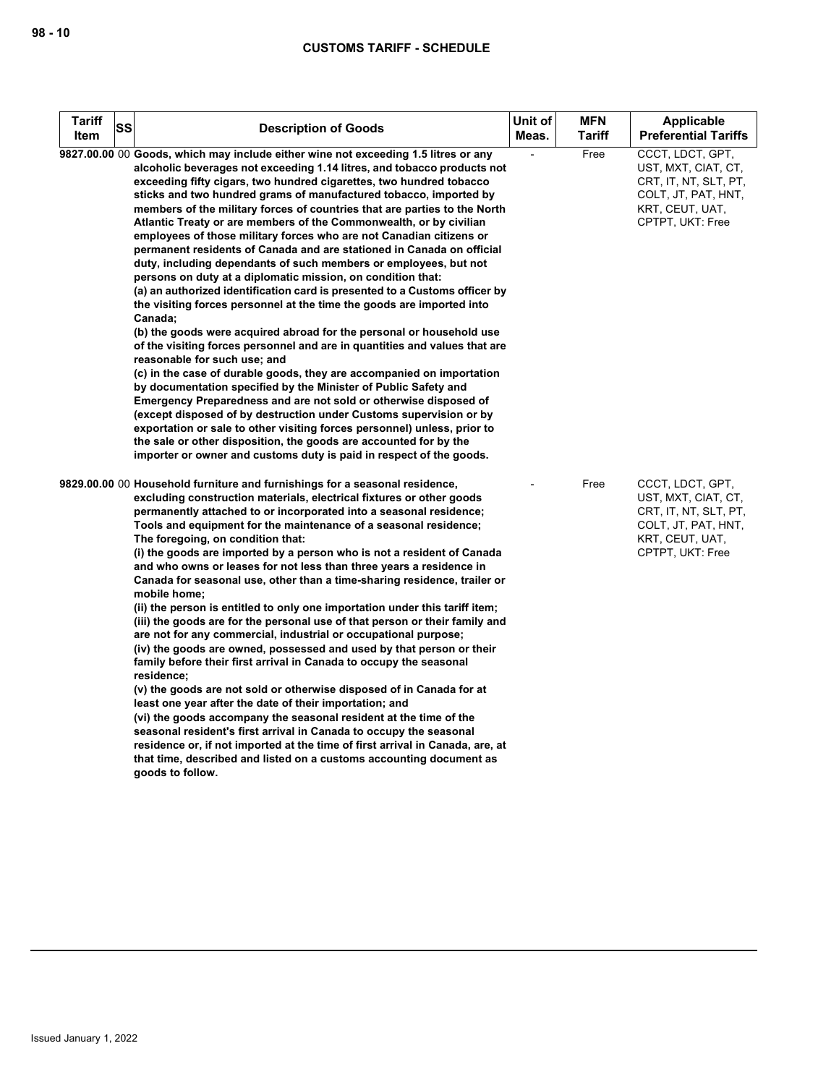| <b>Tariff</b><br>SS<br>Item | <b>Description of Goods</b>                                                                                                                                                                                                                                                                                                                                                                                                                                                                                                                                                                                                                                                                                                                                                                                                                                                                                                                                                                                                                                                                                                                                                                                                                                                                                                                                                                                                                                                                                                                                                                                           | Unit of<br>Meas. | <b>MFN</b><br><b>Tariff</b> | <b>Applicable</b><br><b>Preferential Tariffs</b>                                                                               |
|-----------------------------|-----------------------------------------------------------------------------------------------------------------------------------------------------------------------------------------------------------------------------------------------------------------------------------------------------------------------------------------------------------------------------------------------------------------------------------------------------------------------------------------------------------------------------------------------------------------------------------------------------------------------------------------------------------------------------------------------------------------------------------------------------------------------------------------------------------------------------------------------------------------------------------------------------------------------------------------------------------------------------------------------------------------------------------------------------------------------------------------------------------------------------------------------------------------------------------------------------------------------------------------------------------------------------------------------------------------------------------------------------------------------------------------------------------------------------------------------------------------------------------------------------------------------------------------------------------------------------------------------------------------------|------------------|-----------------------------|--------------------------------------------------------------------------------------------------------------------------------|
|                             | 9827.00.00 00 Goods, which may include either wine not exceeding 1.5 litres or any<br>alcoholic beverages not exceeding 1.14 litres, and tobacco products not<br>exceeding fifty cigars, two hundred cigarettes, two hundred tobacco<br>sticks and two hundred grams of manufactured tobacco, imported by<br>members of the military forces of countries that are parties to the North<br>Atlantic Treaty or are members of the Commonwealth, or by civilian<br>employees of those military forces who are not Canadian citizens or<br>permanent residents of Canada and are stationed in Canada on official<br>duty, including dependants of such members or employees, but not<br>persons on duty at a diplomatic mission, on condition that:<br>(a) an authorized identification card is presented to a Customs officer by<br>the visiting forces personnel at the time the goods are imported into<br>Canada;<br>(b) the goods were acquired abroad for the personal or household use<br>of the visiting forces personnel and are in quantities and values that are<br>reasonable for such use; and<br>(c) in the case of durable goods, they are accompanied on importation<br>by documentation specified by the Minister of Public Safety and<br>Emergency Preparedness and are not sold or otherwise disposed of<br>(except disposed of by destruction under Customs supervision or by<br>exportation or sale to other visiting forces personnel) unless, prior to<br>the sale or other disposition, the goods are accounted for by the<br>importer or owner and customs duty is paid in respect of the goods. |                  | Free                        | CCCT, LDCT, GPT,<br>UST, MXT, CIAT, CT,<br>CRT, IT, NT, SLT, PT,<br>COLT, JT, PAT, HNT,<br>KRT, CEUT, UAT,<br>CPTPT, UKT: Free |
|                             | 9829.00.00 00 Household furniture and furnishings for a seasonal residence,<br>excluding construction materials, electrical fixtures or other goods<br>permanently attached to or incorporated into a seasonal residence;<br>Tools and equipment for the maintenance of a seasonal residence;<br>The foregoing, on condition that:<br>(i) the goods are imported by a person who is not a resident of Canada<br>and who owns or leases for not less than three years a residence in<br>Canada for seasonal use, other than a time-sharing residence, trailer or<br>mobile home;<br>(ii) the person is entitled to only one importation under this tariff item;<br>(iii) the goods are for the personal use of that person or their family and<br>are not for any commercial, industrial or occupational purpose;<br>(iv) the goods are owned, possessed and used by that person or their<br>family before their first arrival in Canada to occupy the seasonal<br>residence;<br>(v) the goods are not sold or otherwise disposed of in Canada for at<br>least one year after the date of their importation; and<br>(vi) the goods accompany the seasonal resident at the time of the<br>seasonal resident's first arrival in Canada to occupy the seasonal<br>residence or, if not imported at the time of first arrival in Canada, are, at<br>that time, described and listed on a customs accounting document as<br>goods to follow.                                                                                                                                                                                |                  | Free                        | CCCT, LDCT, GPT,<br>UST, MXT, CIAT, CT,<br>CRT, IT, NT, SLT, PT,<br>COLT, JT, PAT, HNT,<br>KRT, CEUT, UAT,<br>CPTPT, UKT: Free |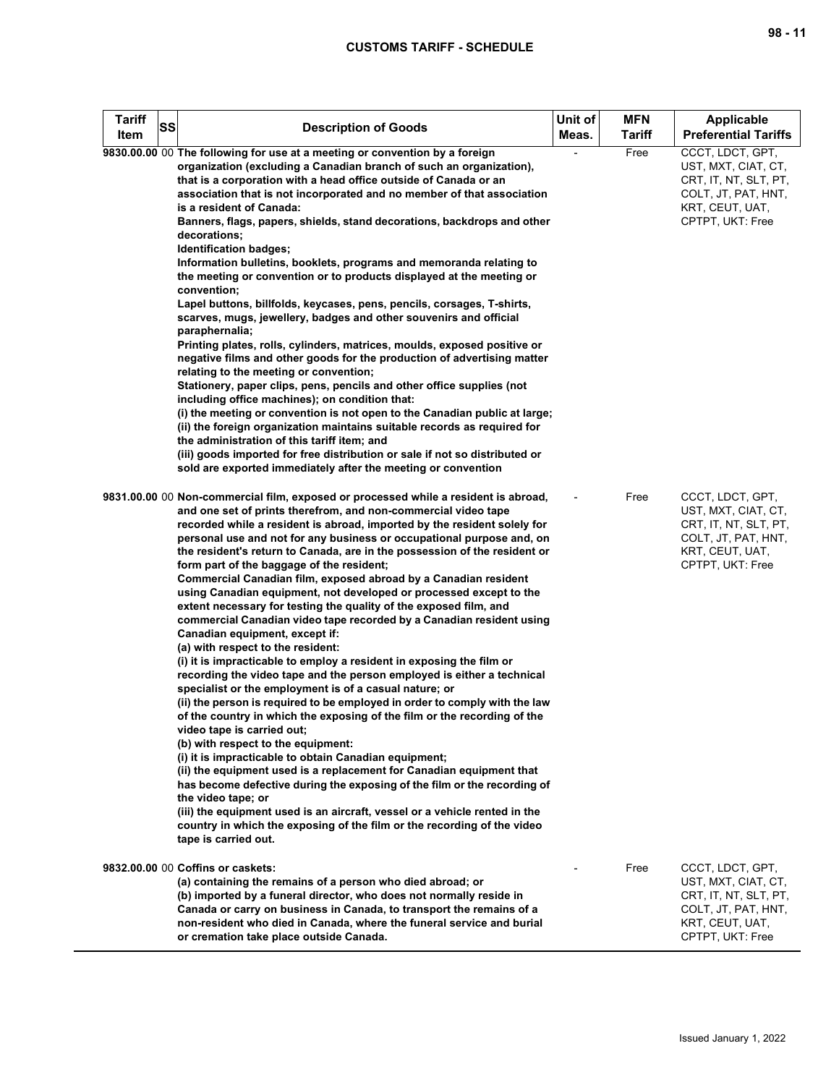| <b>Tariff</b><br>ltem | SS | <b>Description of Goods</b>                                                                                                                                                                                                                                                                                                                                                                                                                                                                                                                                                                                                                                                                                                                                                                                                                                                                                                                                                                                   | Unit of<br>Meas. | <b>MFN</b><br>Tariff | Applicable<br><b>Preferential Tariffs</b>                                                                                      |
|-----------------------|----|---------------------------------------------------------------------------------------------------------------------------------------------------------------------------------------------------------------------------------------------------------------------------------------------------------------------------------------------------------------------------------------------------------------------------------------------------------------------------------------------------------------------------------------------------------------------------------------------------------------------------------------------------------------------------------------------------------------------------------------------------------------------------------------------------------------------------------------------------------------------------------------------------------------------------------------------------------------------------------------------------------------|------------------|----------------------|--------------------------------------------------------------------------------------------------------------------------------|
|                       |    | 9830.00.00 00 The following for use at a meeting or convention by a foreign<br>organization (excluding a Canadian branch of such an organization),<br>that is a corporation with a head office outside of Canada or an<br>association that is not incorporated and no member of that association<br>is a resident of Canada:                                                                                                                                                                                                                                                                                                                                                                                                                                                                                                                                                                                                                                                                                  |                  | Free                 | CCCT, LDCT, GPT,<br>UST, MXT, CIAT, CT,<br>CRT, IT, NT, SLT, PT,<br>COLT, JT, PAT, HNT,<br>KRT, CEUT, UAT,                     |
|                       |    | Banners, flags, papers, shields, stand decorations, backdrops and other<br>decorations;<br>Identification badges;                                                                                                                                                                                                                                                                                                                                                                                                                                                                                                                                                                                                                                                                                                                                                                                                                                                                                             |                  |                      | CPTPT, UKT: Free                                                                                                               |
|                       |    | Information bulletins, booklets, programs and memoranda relating to<br>the meeting or convention or to products displayed at the meeting or<br>convention;                                                                                                                                                                                                                                                                                                                                                                                                                                                                                                                                                                                                                                                                                                                                                                                                                                                    |                  |                      |                                                                                                                                |
|                       |    | Lapel buttons, billfolds, keycases, pens, pencils, corsages, T-shirts,<br>scarves, mugs, jewellery, badges and other souvenirs and official<br>paraphernalia;                                                                                                                                                                                                                                                                                                                                                                                                                                                                                                                                                                                                                                                                                                                                                                                                                                                 |                  |                      |                                                                                                                                |
|                       |    | Printing plates, rolls, cylinders, matrices, moulds, exposed positive or<br>negative films and other goods for the production of advertising matter<br>relating to the meeting or convention;<br>Stationery, paper clips, pens, pencils and other office supplies (not                                                                                                                                                                                                                                                                                                                                                                                                                                                                                                                                                                                                                                                                                                                                        |                  |                      |                                                                                                                                |
|                       |    | including office machines); on condition that:<br>(i) the meeting or convention is not open to the Canadian public at large;                                                                                                                                                                                                                                                                                                                                                                                                                                                                                                                                                                                                                                                                                                                                                                                                                                                                                  |                  |                      |                                                                                                                                |
|                       |    | (ii) the foreign organization maintains suitable records as required for<br>the administration of this tariff item; and<br>(iii) goods imported for free distribution or sale if not so distributed or                                                                                                                                                                                                                                                                                                                                                                                                                                                                                                                                                                                                                                                                                                                                                                                                        |                  |                      |                                                                                                                                |
|                       |    | sold are exported immediately after the meeting or convention                                                                                                                                                                                                                                                                                                                                                                                                                                                                                                                                                                                                                                                                                                                                                                                                                                                                                                                                                 |                  |                      |                                                                                                                                |
|                       |    | 9831.00.00 00 Non-commercial film, exposed or processed while a resident is abroad,<br>and one set of prints therefrom, and non-commercial video tape<br>recorded while a resident is abroad, imported by the resident solely for<br>personal use and not for any business or occupational purpose and, on<br>the resident's return to Canada, are in the possession of the resident or<br>form part of the baggage of the resident;<br>Commercial Canadian film, exposed abroad by a Canadian resident<br>using Canadian equipment, not developed or processed except to the<br>extent necessary for testing the quality of the exposed film, and<br>commercial Canadian video tape recorded by a Canadian resident using<br>Canadian equipment, except if:<br>(a) with respect to the resident:<br>(i) it is impracticable to employ a resident in exposing the film or<br>recording the video tape and the person employed is either a technical<br>specialist or the employment is of a casual nature; or |                  | Free                 | CCCT, LDCT, GPT,<br>UST, MXT, CIAT, CT,<br>CRT, IT, NT, SLT, PT,<br>COLT, JT, PAT, HNT,<br>KRT, CEUT, UAT,<br>CPTPT, UKT: Free |
|                       |    | (ii) the person is required to be employed in order to comply with the law<br>of the country in which the exposing of the film or the recording of the<br>video tape is carried out;<br>(b) with respect to the equipment:                                                                                                                                                                                                                                                                                                                                                                                                                                                                                                                                                                                                                                                                                                                                                                                    |                  |                      |                                                                                                                                |
|                       |    | (i) it is impracticable to obtain Canadian equipment;<br>(ii) the equipment used is a replacement for Canadian equipment that<br>has become defective during the exposing of the film or the recording of<br>the video tape; or<br>(iii) the equipment used is an aircraft, vessel or a vehicle rented in the<br>country in which the exposing of the film or the recording of the video<br>tape is carried out.                                                                                                                                                                                                                                                                                                                                                                                                                                                                                                                                                                                              |                  |                      |                                                                                                                                |
|                       |    | 9832.00.00 00 Coffins or caskets:<br>(a) containing the remains of a person who died abroad; or<br>(b) imported by a funeral director, who does not normally reside in<br>Canada or carry on business in Canada, to transport the remains of a<br>non-resident who died in Canada, where the funeral service and burial<br>or cremation take place outside Canada.                                                                                                                                                                                                                                                                                                                                                                                                                                                                                                                                                                                                                                            |                  | Free                 | CCCT, LDCT, GPT,<br>UST, MXT, CIAT, CT,<br>CRT, IT, NT, SLT, PT,<br>COLT, JT, PAT, HNT,<br>KRT, CEUT, UAT,<br>CPTPT, UKT: Free |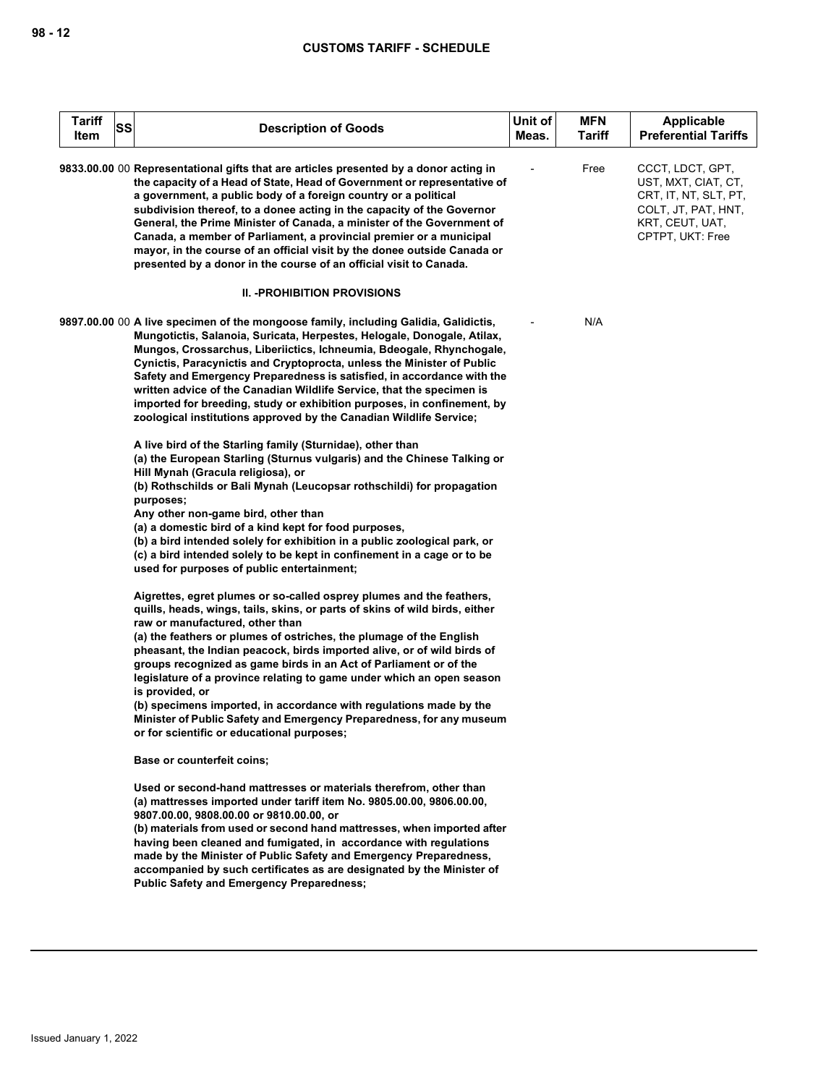| Tariff<br>Item | SS | <b>Description of Goods</b>                                                                                                                                                                                                                                                                                                                                                                                                                                                                                                                                                                                           | Unit of<br>Meas. | <b>MFN</b><br><b>Tariff</b> | Applicable<br><b>Preferential Tariffs</b>                                                                                      |
|----------------|----|-----------------------------------------------------------------------------------------------------------------------------------------------------------------------------------------------------------------------------------------------------------------------------------------------------------------------------------------------------------------------------------------------------------------------------------------------------------------------------------------------------------------------------------------------------------------------------------------------------------------------|------------------|-----------------------------|--------------------------------------------------------------------------------------------------------------------------------|
|                |    | 9833.00.00 00 Representational gifts that are articles presented by a donor acting in<br>the capacity of a Head of State, Head of Government or representative of<br>a government, a public body of a foreign country or a political<br>subdivision thereof, to a donee acting in the capacity of the Governor<br>General, the Prime Minister of Canada, a minister of the Government of<br>Canada, a member of Parliament, a provincial premier or a municipal<br>mayor, in the course of an official visit by the donee outside Canada or<br>presented by a donor in the course of an official visit to Canada.     |                  | Free                        | CCCT, LDCT, GPT,<br>UST, MXT, CIAT, CT,<br>CRT, IT, NT, SLT, PT,<br>COLT, JT, PAT, HNT,<br>KRT, CEUT, UAT,<br>CPTPT, UKT: Free |
|                |    | <b>II. - PROHIBITION PROVISIONS</b>                                                                                                                                                                                                                                                                                                                                                                                                                                                                                                                                                                                   |                  |                             |                                                                                                                                |
|                |    | 9897.00.00 00 A live specimen of the mongoose family, including Galidia, Galidictis,<br>Mungotictis, Salanoia, Suricata, Herpestes, Helogale, Donogale, Atilax,<br>Mungos, Crossarchus, Liberiictics, Ichneumia, Bdeogale, Rhynchogale,<br>Cynictis, Paracynictis and Cryptoprocta, unless the Minister of Public<br>Safety and Emergency Preparedness is satisfied, in accordance with the<br>written advice of the Canadian Wildlife Service, that the specimen is<br>imported for breeding, study or exhibition purposes, in confinement, by<br>zoological institutions approved by the Canadian Wildlife Service; |                  | N/A                         |                                                                                                                                |
|                |    | A live bird of the Starling family (Sturnidae), other than<br>(a) the European Starling (Sturnus vulgaris) and the Chinese Talking or<br>Hill Mynah (Gracula religiosa), or<br>(b) Rothschilds or Bali Mynah (Leucopsar rothschildi) for propagation<br>purposes;<br>Any other non-game bird, other than<br>(a) a domestic bird of a kind kept for food purposes,<br>(b) a bird intended solely for exhibition in a public zoological park, or<br>(c) a bird intended solely to be kept in confinement in a cage or to be                                                                                             |                  |                             |                                                                                                                                |
|                |    | used for purposes of public entertainment;<br>Aigrettes, egret plumes or so-called osprey plumes and the feathers,<br>quills, heads, wings, tails, skins, or parts of skins of wild birds, either                                                                                                                                                                                                                                                                                                                                                                                                                     |                  |                             |                                                                                                                                |
|                |    | raw or manufactured, other than<br>(a) the feathers or plumes of ostriches, the plumage of the English<br>pheasant, the Indian peacock, birds imported alive, or of wild birds of<br>groups recognized as game birds in an Act of Parliament or of the<br>legislature of a province relating to game under which an open season<br>is provided, or<br>(b) specimens imported, in accordance with regulations made by the<br>Minister of Public Safety and Emergency Preparedness, for any museum<br>or for scientific or educational purposes;                                                                        |                  |                             |                                                                                                                                |
|                |    | <b>Base or counterfeit coins;</b>                                                                                                                                                                                                                                                                                                                                                                                                                                                                                                                                                                                     |                  |                             |                                                                                                                                |
|                |    | Used or second-hand mattresses or materials therefrom, other than<br>(a) mattresses imported under tariff item No. 9805.00.00, 9806.00.00,<br>9807.00.00, 9808.00.00 or 9810.00.00, or<br>(b) materials from used or second hand mattresses, when imported after<br>having been cleaned and fumigated, in accordance with regulations<br>made by the Minister of Public Safety and Emergency Preparedness,<br>accompanied by such certificates as are designated by the Minister of<br><b>Public Safety and Emergency Preparedness;</b>                                                                               |                  |                             |                                                                                                                                |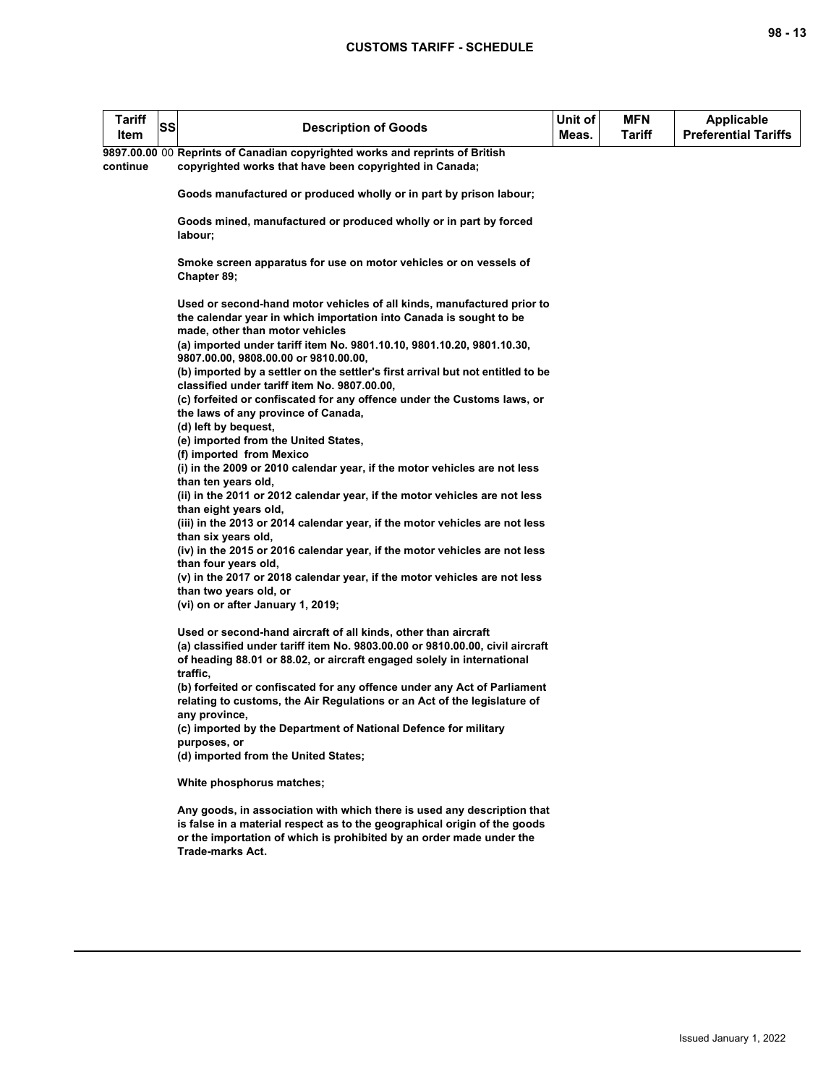| <b>Tariff</b><br>ltem | <b>SS</b> | <b>Description of Goods</b>                                                                                                                                                     | Unit of<br>Meas. | MFN.<br>Tariff | Applicable<br><b>Preferential Tariffs</b> |
|-----------------------|-----------|---------------------------------------------------------------------------------------------------------------------------------------------------------------------------------|------------------|----------------|-------------------------------------------|
|                       |           | 9897.00.00 00 Reprints of Canadian copyrighted works and reprints of British                                                                                                    |                  |                |                                           |
| continue              |           | copyrighted works that have been copyrighted in Canada;                                                                                                                         |                  |                |                                           |
|                       |           | Goods manufactured or produced wholly or in part by prison labour;                                                                                                              |                  |                |                                           |
|                       |           | Goods mined, manufactured or produced wholly or in part by forced<br>labour;                                                                                                    |                  |                |                                           |
|                       |           | Smoke screen apparatus for use on motor vehicles or on vessels of<br>Chapter 89;                                                                                                |                  |                |                                           |
|                       |           | Used or second-hand motor vehicles of all kinds, manufactured prior to<br>the calendar year in which importation into Canada is sought to be<br>made, other than motor vehicles |                  |                |                                           |
|                       |           | (a) imported under tariff item No. 9801.10.10, 9801.10.20, 9801.10.30,<br>9807.00.00, 9808.00.00 or 9810.00.00,                                                                 |                  |                |                                           |
|                       |           | (b) imported by a settler on the settler's first arrival but not entitled to be<br>classified under tariff item No. 9807.00.00,                                                 |                  |                |                                           |
|                       |           | (c) forfeited or confiscated for any offence under the Customs laws, or<br>the laws of any province of Canada,                                                                  |                  |                |                                           |
|                       |           | (d) left by bequest,                                                                                                                                                            |                  |                |                                           |
|                       |           | (e) imported from the United States,                                                                                                                                            |                  |                |                                           |
|                       |           | (f) imported from Mexico                                                                                                                                                        |                  |                |                                           |
|                       |           | (i) in the 2009 or 2010 calendar year, if the motor vehicles are not less<br>than ten years old,                                                                                |                  |                |                                           |
|                       |           | (ii) in the 2011 or 2012 calendar year, if the motor vehicles are not less<br>than eight years old,                                                                             |                  |                |                                           |
|                       |           | (iii) in the 2013 or 2014 calendar year, if the motor vehicles are not less<br>than six years old,                                                                              |                  |                |                                           |
|                       |           | (iv) in the 2015 or 2016 calendar year, if the motor vehicles are not less<br>than four years old,                                                                              |                  |                |                                           |
|                       |           | (v) in the 2017 or 2018 calendar year, if the motor vehicles are not less                                                                                                       |                  |                |                                           |
|                       |           | than two years old, or                                                                                                                                                          |                  |                |                                           |
|                       |           | (vi) on or after January 1, 2019;                                                                                                                                               |                  |                |                                           |
|                       |           | Used or second-hand aircraft of all kinds, other than aircraft                                                                                                                  |                  |                |                                           |
|                       |           | (a) classified under tariff item No. 9803.00.00 or 9810.00.00, civil aircraft                                                                                                   |                  |                |                                           |
|                       |           | of heading 88.01 or 88.02, or aircraft engaged solely in international                                                                                                          |                  |                |                                           |
|                       |           | traffic,<br>(b) forfeited or confiscated for any offence under any Act of Parliament                                                                                            |                  |                |                                           |
|                       |           | relating to customs, the Air Regulations or an Act of the legislature of                                                                                                        |                  |                |                                           |
|                       |           | any province,                                                                                                                                                                   |                  |                |                                           |
|                       |           | (c) imported by the Department of National Defence for military                                                                                                                 |                  |                |                                           |
|                       |           | purposes, or                                                                                                                                                                    |                  |                |                                           |
|                       |           | (d) imported from the United States;                                                                                                                                            |                  |                |                                           |
|                       |           | White phosphorus matches;                                                                                                                                                       |                  |                |                                           |
|                       |           | Any goods, in association with which there is used any description that                                                                                                         |                  |                |                                           |
|                       |           | is false in a material respect as to the geographical origin of the goods                                                                                                       |                  |                |                                           |
|                       |           | or the importation of which is prohibited by an order made under the<br><b>Trade-marks Act.</b>                                                                                 |                  |                |                                           |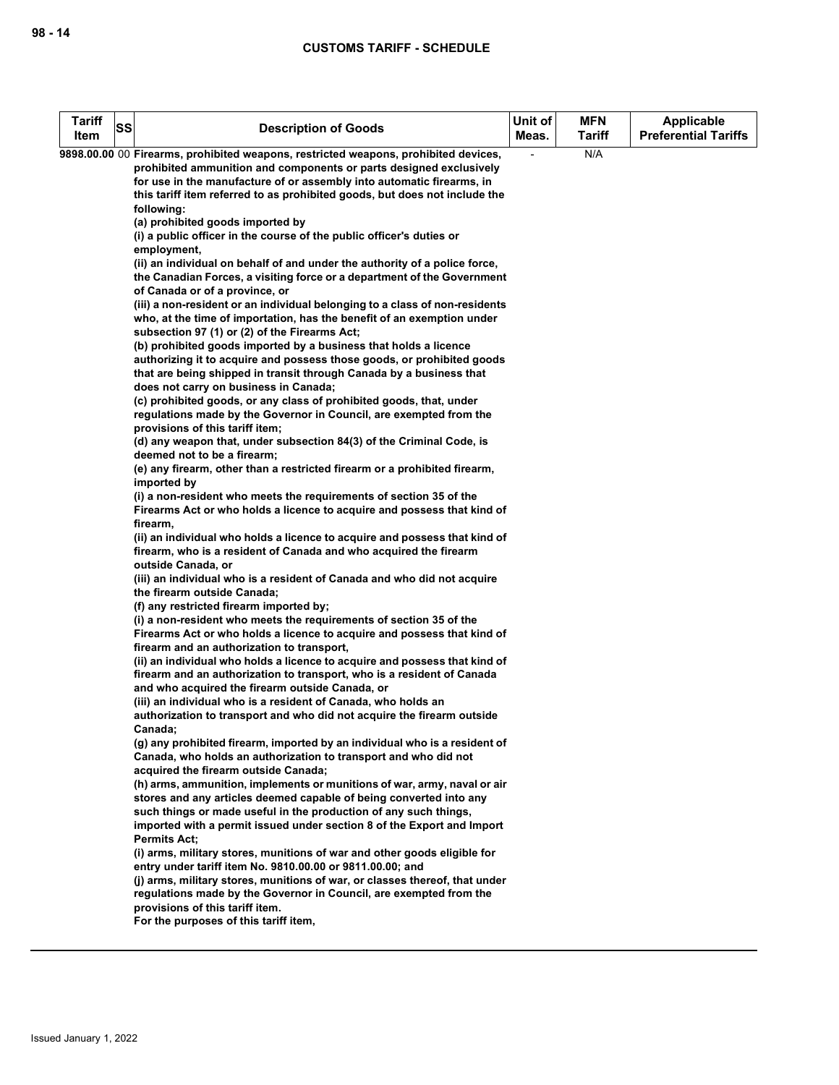| N/A<br>9898.00.00 00 Firearms, prohibited weapons, restricted weapons, prohibited devices,<br>prohibited ammunition and components or parts designed exclusively<br>for use in the manufacture of or assembly into automatic firearms, in<br>this tariff item referred to as prohibited goods, but does not include the<br>following:<br>(a) prohibited goods imported by<br>(i) a public officer in the course of the public officer's duties or<br>employment,<br>(ii) an individual on behalf of and under the authority of a police force,<br>the Canadian Forces, a visiting force or a department of the Government<br>of Canada or of a province, or<br>(iii) a non-resident or an individual belonging to a class of non-residents<br>who, at the time of importation, has the benefit of an exemption under<br>subsection 97 (1) or (2) of the Firearms Act;<br>(b) prohibited goods imported by a business that holds a licence<br>authorizing it to acquire and possess those goods, or prohibited goods<br>that are being shipped in transit through Canada by a business that<br>does not carry on business in Canada;<br>(c) prohibited goods, or any class of prohibited goods, that, under<br>regulations made by the Governor in Council, are exempted from the<br>provisions of this tariff item;<br>(d) any weapon that, under subsection 84(3) of the Criminal Code, is<br>deemed not to be a firearm;<br>(e) any firearm, other than a restricted firearm or a prohibited firearm,<br>imported by<br>(i) a non-resident who meets the requirements of section 35 of the<br>Firearms Act or who holds a licence to acquire and possess that kind of<br>firearm,<br>(ii) an individual who holds a licence to acquire and possess that kind of<br>firearm, who is a resident of Canada and who acquired the firearm<br>outside Canada, or<br>(iii) an individual who is a resident of Canada and who did not acquire<br>the firearm outside Canada;<br>(f) any restricted firearm imported by;<br>(i) a non-resident who meets the requirements of section 35 of the<br>Firearms Act or who holds a licence to acquire and possess that kind of<br>firearm and an authorization to transport,<br>(ii) an individual who holds a licence to acquire and possess that kind of<br>firearm and an authorization to transport, who is a resident of Canada<br>and who acquired the firearm outside Canada, or<br>(iii) an individual who is a resident of Canada, who holds an<br>authorization to transport and who did not acquire the firearm outside<br>Canada;<br>(g) any prohibited firearm, imported by an individual who is a resident of<br>Canada, who holds an authorization to transport and who did not<br>acquired the firearm outside Canada;<br>(h) arms, ammunition, implements or munitions of war, army, naval or air<br>stores and any articles deemed capable of being converted into any<br>such things or made useful in the production of any such things,<br>imported with a permit issued under section 8 of the Export and Import<br><b>Permits Act:</b><br>(i) arms, military stores, munitions of war and other goods eligible for<br>entry under tariff item No. 9810.00.00 or 9811.00.00; and<br>(i) arms, military stores, munitions of war, or classes thereof, that under | <b>Tariff</b><br>Item | SS | <b>Description of Goods</b>                                        | Unit of<br>Meas. | <b>MFN</b><br><b>Tariff</b> | <b>Applicable</b><br><b>Preferential Tariffs</b> |
|---------------------------------------------------------------------------------------------------------------------------------------------------------------------------------------------------------------------------------------------------------------------------------------------------------------------------------------------------------------------------------------------------------------------------------------------------------------------------------------------------------------------------------------------------------------------------------------------------------------------------------------------------------------------------------------------------------------------------------------------------------------------------------------------------------------------------------------------------------------------------------------------------------------------------------------------------------------------------------------------------------------------------------------------------------------------------------------------------------------------------------------------------------------------------------------------------------------------------------------------------------------------------------------------------------------------------------------------------------------------------------------------------------------------------------------------------------------------------------------------------------------------------------------------------------------------------------------------------------------------------------------------------------------------------------------------------------------------------------------------------------------------------------------------------------------------------------------------------------------------------------------------------------------------------------------------------------------------------------------------------------------------------------------------------------------------------------------------------------------------------------------------------------------------------------------------------------------------------------------------------------------------------------------------------------------------------------------------------------------------------------------------------------------------------------------------------------------------------------------------------------------------------------------------------------------------------------------------------------------------------------------------------------------------------------------------------------------------------------------------------------------------------------------------------------------------------------------------------------------------------------------------------------------------------------------------------------------------------------------------------------------------------------------------------------------------------------------------------------------------------------------------------------------------------------------------------------------------------------------------------------------------------------------------------------------------------|-----------------------|----|--------------------------------------------------------------------|------------------|-----------------------------|--------------------------------------------------|
|                                                                                                                                                                                                                                                                                                                                                                                                                                                                                                                                                                                                                                                                                                                                                                                                                                                                                                                                                                                                                                                                                                                                                                                                                                                                                                                                                                                                                                                                                                                                                                                                                                                                                                                                                                                                                                                                                                                                                                                                                                                                                                                                                                                                                                                                                                                                                                                                                                                                                                                                                                                                                                                                                                                                                                                                                                                                                                                                                                                                                                                                                                                                                                                                                                                                                                                           |                       |    |                                                                    |                  |                             |                                                  |
|                                                                                                                                                                                                                                                                                                                                                                                                                                                                                                                                                                                                                                                                                                                                                                                                                                                                                                                                                                                                                                                                                                                                                                                                                                                                                                                                                                                                                                                                                                                                                                                                                                                                                                                                                                                                                                                                                                                                                                                                                                                                                                                                                                                                                                                                                                                                                                                                                                                                                                                                                                                                                                                                                                                                                                                                                                                                                                                                                                                                                                                                                                                                                                                                                                                                                                                           |                       |    |                                                                    |                  |                             |                                                  |
|                                                                                                                                                                                                                                                                                                                                                                                                                                                                                                                                                                                                                                                                                                                                                                                                                                                                                                                                                                                                                                                                                                                                                                                                                                                                                                                                                                                                                                                                                                                                                                                                                                                                                                                                                                                                                                                                                                                                                                                                                                                                                                                                                                                                                                                                                                                                                                                                                                                                                                                                                                                                                                                                                                                                                                                                                                                                                                                                                                                                                                                                                                                                                                                                                                                                                                                           |                       |    |                                                                    |                  |                             |                                                  |
|                                                                                                                                                                                                                                                                                                                                                                                                                                                                                                                                                                                                                                                                                                                                                                                                                                                                                                                                                                                                                                                                                                                                                                                                                                                                                                                                                                                                                                                                                                                                                                                                                                                                                                                                                                                                                                                                                                                                                                                                                                                                                                                                                                                                                                                                                                                                                                                                                                                                                                                                                                                                                                                                                                                                                                                                                                                                                                                                                                                                                                                                                                                                                                                                                                                                                                                           |                       |    |                                                                    |                  |                             |                                                  |
|                                                                                                                                                                                                                                                                                                                                                                                                                                                                                                                                                                                                                                                                                                                                                                                                                                                                                                                                                                                                                                                                                                                                                                                                                                                                                                                                                                                                                                                                                                                                                                                                                                                                                                                                                                                                                                                                                                                                                                                                                                                                                                                                                                                                                                                                                                                                                                                                                                                                                                                                                                                                                                                                                                                                                                                                                                                                                                                                                                                                                                                                                                                                                                                                                                                                                                                           |                       |    |                                                                    |                  |                             |                                                  |
|                                                                                                                                                                                                                                                                                                                                                                                                                                                                                                                                                                                                                                                                                                                                                                                                                                                                                                                                                                                                                                                                                                                                                                                                                                                                                                                                                                                                                                                                                                                                                                                                                                                                                                                                                                                                                                                                                                                                                                                                                                                                                                                                                                                                                                                                                                                                                                                                                                                                                                                                                                                                                                                                                                                                                                                                                                                                                                                                                                                                                                                                                                                                                                                                                                                                                                                           |                       |    |                                                                    |                  |                             |                                                  |
|                                                                                                                                                                                                                                                                                                                                                                                                                                                                                                                                                                                                                                                                                                                                                                                                                                                                                                                                                                                                                                                                                                                                                                                                                                                                                                                                                                                                                                                                                                                                                                                                                                                                                                                                                                                                                                                                                                                                                                                                                                                                                                                                                                                                                                                                                                                                                                                                                                                                                                                                                                                                                                                                                                                                                                                                                                                                                                                                                                                                                                                                                                                                                                                                                                                                                                                           |                       |    |                                                                    |                  |                             |                                                  |
|                                                                                                                                                                                                                                                                                                                                                                                                                                                                                                                                                                                                                                                                                                                                                                                                                                                                                                                                                                                                                                                                                                                                                                                                                                                                                                                                                                                                                                                                                                                                                                                                                                                                                                                                                                                                                                                                                                                                                                                                                                                                                                                                                                                                                                                                                                                                                                                                                                                                                                                                                                                                                                                                                                                                                                                                                                                                                                                                                                                                                                                                                                                                                                                                                                                                                                                           |                       |    |                                                                    |                  |                             |                                                  |
|                                                                                                                                                                                                                                                                                                                                                                                                                                                                                                                                                                                                                                                                                                                                                                                                                                                                                                                                                                                                                                                                                                                                                                                                                                                                                                                                                                                                                                                                                                                                                                                                                                                                                                                                                                                                                                                                                                                                                                                                                                                                                                                                                                                                                                                                                                                                                                                                                                                                                                                                                                                                                                                                                                                                                                                                                                                                                                                                                                                                                                                                                                                                                                                                                                                                                                                           |                       |    |                                                                    |                  |                             |                                                  |
| provisions of this tariff item.<br>For the purposes of this tariff item,                                                                                                                                                                                                                                                                                                                                                                                                                                                                                                                                                                                                                                                                                                                                                                                                                                                                                                                                                                                                                                                                                                                                                                                                                                                                                                                                                                                                                                                                                                                                                                                                                                                                                                                                                                                                                                                                                                                                                                                                                                                                                                                                                                                                                                                                                                                                                                                                                                                                                                                                                                                                                                                                                                                                                                                                                                                                                                                                                                                                                                                                                                                                                                                                                                                  |                       |    | regulations made by the Governor in Council, are exempted from the |                  |                             |                                                  |